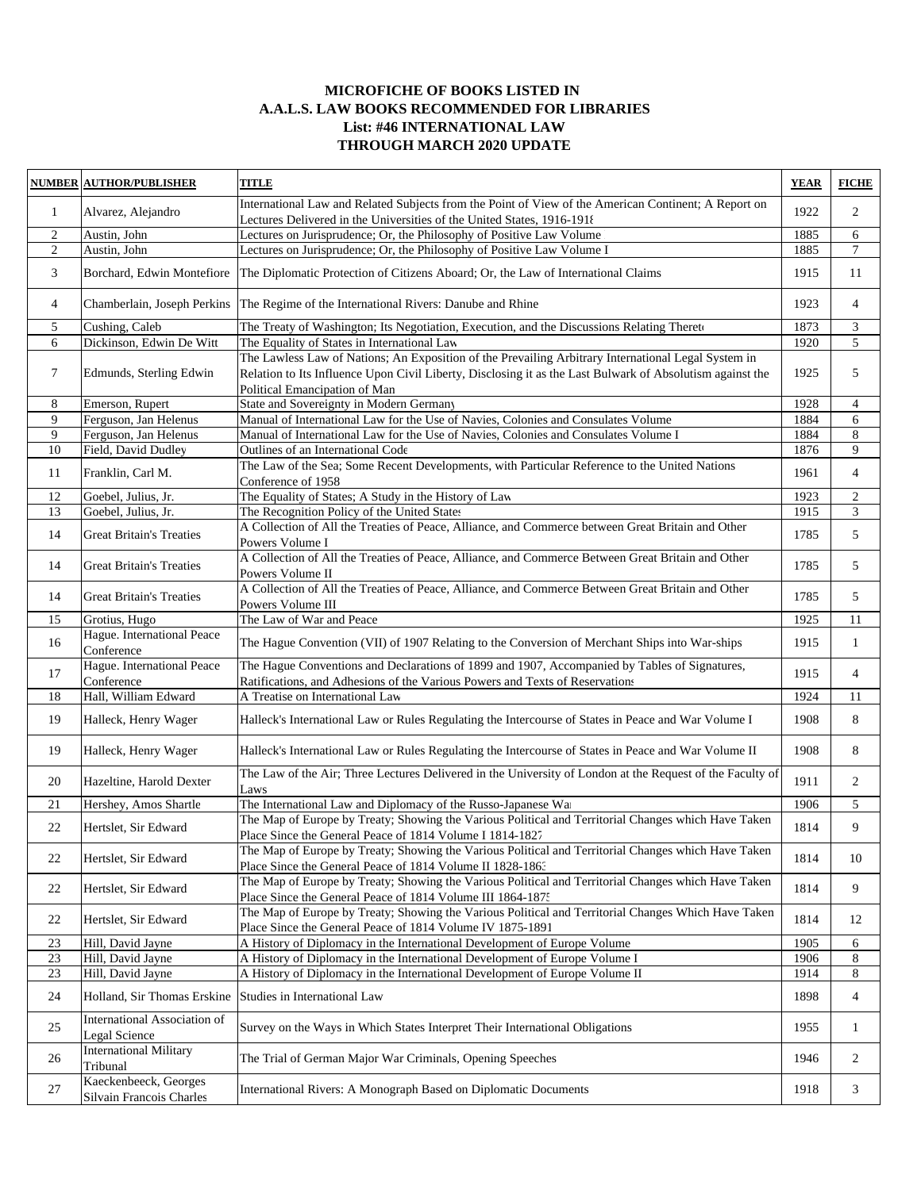## **MICROFICHE OF BOOKS LISTED IN A.A.L.S. LAW BOOKS RECOMMENDED FOR LIBRARIES List: #46 INTERNATIONAL LAW THROUGH MARCH 2020 UPDATE**

| <b>NUMBER</b>  | <b>AUTHOR/PUBLISHER</b>                           | TITLE                                                                                                                                                                                                                                             | <b>YEAR</b> | <b>FICHE</b>   |
|----------------|---------------------------------------------------|---------------------------------------------------------------------------------------------------------------------------------------------------------------------------------------------------------------------------------------------------|-------------|----------------|
| $\mathbf{1}$   | Alvarez, Alejandro                                | International Law and Related Subjects from the Point of View of the American Continent; A Report on<br>Lectures Delivered in the Universities of the United States, 1916-1918                                                                    | 1922        | 2              |
| 2              | Austin, John                                      | Lectures on Jurisprudence; Or, the Philosophy of Positive Law Volume                                                                                                                                                                              | 1885        | 6              |
| $\overline{c}$ | Austin, John                                      | Lectures on Jurisprudence; Or, the Philosophy of Positive Law Volume I                                                                                                                                                                            | 1885        | $\tau$         |
| 3              | Borchard, Edwin Montefiore                        | The Diplomatic Protection of Citizens Aboard; Or, the Law of International Claims                                                                                                                                                                 | 1915        | 11             |
| 4              | Chamberlain, Joseph Perkins                       | The Regime of the International Rivers: Danube and Rhine                                                                                                                                                                                          | 1923        | $\overline{4}$ |
| 5              | Cushing, Caleb                                    | The Treaty of Washington; Its Negotiation, Execution, and the Discussions Relating Thereto                                                                                                                                                        | 1873        | 3              |
| 6              | Dickinson, Edwin De Witt                          | The Equality of States in International Law                                                                                                                                                                                                       | 1920        | 5              |
| 7              | Edmunds, Sterling Edwin                           | The Lawless Law of Nations; An Exposition of the Prevailing Arbitrary International Legal System in<br>Relation to Its Influence Upon Civil Liberty, Disclosing it as the Last Bulwark of Absolutism against the<br>Political Emancipation of Man | 1925        | 5              |
| 8              | Emerson, Rupert                                   | State and Sovereignty in Modern Germany                                                                                                                                                                                                           | 1928        | $\overline{4}$ |
| 9              | Ferguson, Jan Helenus                             | Manual of International Law for the Use of Navies, Colonies and Consulates Volume                                                                                                                                                                 | 1884        | 6              |
| 9              | Ferguson, Jan Helenus                             | Manual of International Law for the Use of Navies, Colonies and Consulates Volume I                                                                                                                                                               | 1884        | 8              |
| 10             | Field, David Dudley                               | Outlines of an International Code                                                                                                                                                                                                                 | 1876        | 9              |
| 11             | Franklin, Carl M.                                 | The Law of the Sea; Some Recent Developments, with Particular Reference to the United Nations<br>Conference of 1958                                                                                                                               | 1961        | $\overline{4}$ |
| 12             | Goebel, Julius, Jr.                               | The Equality of States; A Study in the History of Law                                                                                                                                                                                             | 1923        | $\sqrt{2}$     |
| 13             | Goebel, Julius, Jr.                               | The Recognition Policy of the United States                                                                                                                                                                                                       | 1915        | 3              |
| 14             | <b>Great Britain's Treaties</b>                   | A Collection of All the Treaties of Peace, Alliance, and Commerce between Great Britain and Other<br>Powers Volume I                                                                                                                              | 1785        | 5              |
| 14             | <b>Great Britain's Treaties</b>                   | A Collection of All the Treaties of Peace, Alliance, and Commerce Between Great Britain and Other<br>Powers Volume II                                                                                                                             | 1785        | 5              |
| 14             | <b>Great Britain's Treaties</b>                   | A Collection of All the Treaties of Peace, Alliance, and Commerce Between Great Britain and Other<br>Powers Volume III                                                                                                                            | 1785        | 5              |
| 15             | Grotius, Hugo                                     | The Law of War and Peace                                                                                                                                                                                                                          | 1925        | 11             |
| 16             | Hague. International Peace<br>Conference          | The Hague Convention (VII) of 1907 Relating to the Conversion of Merchant Ships into War-ships                                                                                                                                                    | 1915        | $\mathbf{1}$   |
| 17             | Hague. International Peace<br>Conference          | The Hague Conventions and Declarations of 1899 and 1907, Accompanied by Tables of Signatures,<br>Ratifications, and Adhesions of the Various Powers and Texts of Reservations                                                                     | 1915        | $\overline{4}$ |
| 18             | Hall, William Edward                              | A Treatise on International Law                                                                                                                                                                                                                   | 1924        | 11             |
| 19             | Halleck, Henry Wager                              | Halleck's International Law or Rules Regulating the Intercourse of States in Peace and War Volume I                                                                                                                                               | 1908        | 8              |
| 19             | Halleck, Henry Wager                              | Halleck's International Law or Rules Regulating the Intercourse of States in Peace and War Volume II                                                                                                                                              | 1908        | 8              |
| 20             | Hazeltine, Harold Dexter                          | The Law of the Air; Three Lectures Delivered in the University of London at the Request of the Faculty of<br>Laws                                                                                                                                 | 1911        | 2              |
| 21             | Hershey, Amos Shartle                             | The International Law and Diplomacy of the Russo-Japanese War                                                                                                                                                                                     | 1906        | 5              |
| 22             | Hertslet, Sir Edward                              | The Map of Europe by Treaty; Showing the Various Political and Territorial Changes which Have Taken<br>Place Since the General Peace of 1814 Volume I 1814-1827                                                                                   | 1814        | 9              |
| 22             | Hertslet, Sir Edward                              | The Map of Europe by Treaty; Showing the Various Political and Territorial Changes which Have Taken<br>Place Since the General Peace of 1814 Volume II 1828-1863                                                                                  | 1814        | 10             |
| 22             | Hertslet, Sir Edward                              | The Map of Europe by Treaty; Showing the Various Political and Territorial Changes which Have Taken<br>Place Since the General Peace of 1814 Volume III 1864-1875                                                                                 | 1814        | 9              |
| 22             | Hertslet, Sir Edward                              | The Map of Europe by Treaty; Showing the Various Political and Territorial Changes Which Have Taken<br>Place Since the General Peace of 1814 Volume IV 1875-1891                                                                                  | 1814        | 12             |
| 23             | Hill, David Jayne                                 | A History of Diplomacy in the International Development of Europe Volume                                                                                                                                                                          | 1905        | 6              |
| $23\,$         | Hill, David Jayne                                 | A History of Diplomacy in the International Development of Europe Volume I                                                                                                                                                                        | 1906        | 8              |
| 23             | Hill, David Jayne                                 | A History of Diplomacy in the International Development of Europe Volume II                                                                                                                                                                       | 1914        | 8              |
| 24             | Holland, Sir Thomas Erskine                       | Studies in International Law                                                                                                                                                                                                                      | 1898        | $\overline{4}$ |
| 25             | International Association of<br>Legal Science     | Survey on the Ways in Which States Interpret Their International Obligations                                                                                                                                                                      | 1955        | 1              |
| 26             | <b>International Military</b><br>Tribunal         | The Trial of German Major War Criminals, Opening Speeches                                                                                                                                                                                         | 1946        | 2              |
| 27             | Kaeckenbeeck, Georges<br>Silvain Francois Charles | International Rivers: A Monograph Based on Diplomatic Documents                                                                                                                                                                                   | 1918        | 3              |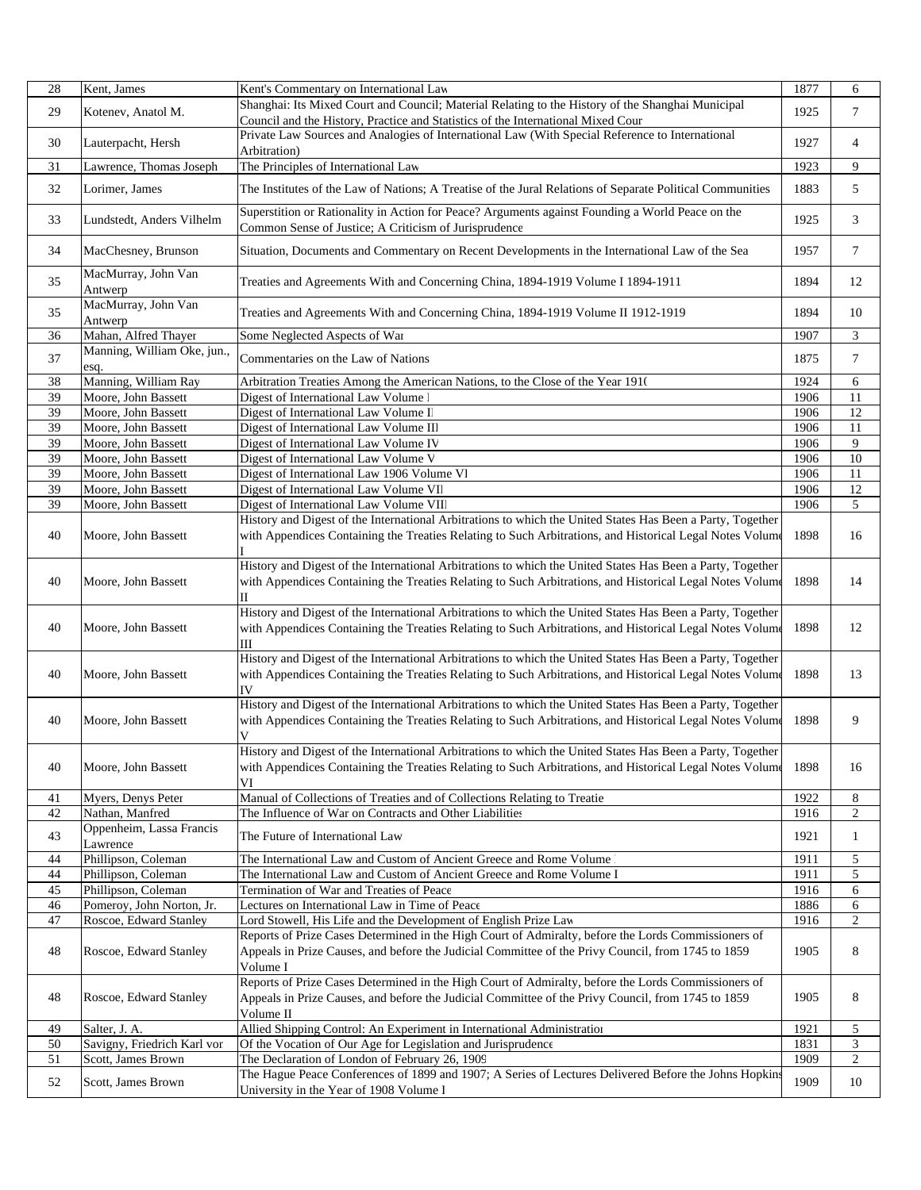| 28 | Kent, James                                | Kent's Commentary on International Law                                                                           | 1877 | 6              |
|----|--------------------------------------------|------------------------------------------------------------------------------------------------------------------|------|----------------|
|    |                                            | Shanghai: Its Mixed Court and Council; Material Relating to the History of the Shanghai Municipal                |      |                |
| 29 | Kotenev, Anatol M.                         | Council and the History, Practice and Statistics of the International Mixed Cour                                 | 1925 | 7              |
|    |                                            | Private Law Sources and Analogies of International Law (With Special Reference to International                  |      |                |
| 30 | Lauterpacht, Hersh                         | Arbitration)                                                                                                     | 1927 | 4              |
| 31 | Lawrence, Thomas Joseph                    | The Principles of International Law                                                                              | 1923 | 9              |
| 32 | Lorimer, James                             | The Institutes of the Law of Nations; A Treatise of the Jural Relations of Separate Political Communities        | 1883 | 5              |
|    |                                            |                                                                                                                  |      |                |
| 33 | Lundstedt, Anders Vilhelm                  | Superstition or Rationality in Action for Peace? Arguments against Founding a World Peace on the                 | 1925 | 3              |
|    |                                            | Common Sense of Justice; A Criticism of Jurisprudence                                                            |      |                |
| 34 | MacChesney, Brunson                        | Situation, Documents and Commentary on Recent Developments in the International Law of the Sea                   | 1957 | 7              |
|    |                                            |                                                                                                                  |      |                |
| 35 | MacMurray, John Van                        | Treaties and Agreements With and Concerning China, 1894-1919 Volume I 1894-1911                                  | 1894 | 12             |
|    | Antwerp                                    |                                                                                                                  |      |                |
| 35 | MacMurray, John Van                        | Treaties and Agreements With and Concerning China, 1894-1919 Volume II 1912-1919                                 | 1894 | 10             |
|    | Antwerp                                    |                                                                                                                  |      |                |
| 36 | Mahan, Alfred Thayer                       | Some Neglected Aspects of War                                                                                    | 1907 | 3              |
| 37 | Manning, William Oke, jun.,                | Commentaries on the Law of Nations                                                                               | 1875 | 7              |
| 38 | esq.<br>Manning, William Ray               | Arbitration Treaties Among the American Nations, to the Close of the Year 1910                                   | 1924 | 6              |
| 39 | Moore, John Bassett                        | Digest of International Law Volume l                                                                             | 1906 | 11             |
| 39 | Moore, John Bassett                        | Digest of International Law Volume II                                                                            | 1906 | 12             |
| 39 | Moore, John Bassett                        | Digest of International Law Volume III                                                                           | 1906 | 11             |
| 39 | Moore, John Bassett                        | Digest of International Law Volume IV                                                                            | 1906 | 9              |
| 39 | Moore, John Bassett                        | Digest of International Law Volume V                                                                             | 1906 | 10             |
| 39 |                                            | Digest of International Law 1906 Volume VI                                                                       | 1906 | 11             |
| 39 | Moore, John Bassett                        |                                                                                                                  | 1906 |                |
|    | Moore, John Bassett<br>Moore, John Bassett | Digest of International Law Volume VII<br>Digest of International Law Volume VIII                                | 1906 | 12             |
| 39 |                                            | History and Digest of the International Arbitrations to which the United States Has Been a Party, Together       |      | 5              |
|    |                                            |                                                                                                                  |      |                |
| 40 | Moore, John Bassett                        | with Appendices Containing the Treaties Relating to Such Arbitrations, and Historical Legal Notes Volume         | 1898 | 16             |
|    |                                            | History and Digest of the International Arbitrations to which the United States Has Been a Party, Together       |      |                |
|    |                                            |                                                                                                                  |      |                |
| 40 | Moore, John Bassett                        | with Appendices Containing the Treaties Relating to Such Arbitrations, and Historical Legal Notes Volume         | 1898 | 14             |
|    |                                            | П<br>History and Digest of the International Arbitrations to which the United States Has Been a Party, Together  |      |                |
|    |                                            |                                                                                                                  |      |                |
| 40 | Moore, John Bassett                        | with Appendices Containing the Treaties Relating to Such Arbitrations, and Historical Legal Notes Volume         | 1898 | 12             |
|    |                                            | Ш<br>History and Digest of the International Arbitrations to which the United States Has Been a Party, Together  |      |                |
| 40 | Moore, John Bassett                        | with Appendices Containing the Treaties Relating to Such Arbitrations, and Historical Legal Notes Volume         | 1898 | 13             |
|    |                                            |                                                                                                                  |      |                |
|    |                                            | IV<br>History and Digest of the International Arbitrations to which the United States Has Been a Party, Together |      |                |
| 40 |                                            |                                                                                                                  | 1898 | 9              |
|    | Moore, John Bassett                        | with Appendices Containing the Treaties Relating to Such Arbitrations, and Historical Legal Notes Volum          |      |                |
|    |                                            | History and Digest of the International Arbitrations to which the United States Has Been a Party, Together       |      |                |
| 40 | Moore, John Bassett                        | with Appendices Containing the Treaties Relating to Such Arbitrations, and Historical Legal Notes Volume         | 1898 | 16             |
|    |                                            | VI                                                                                                               |      |                |
| 41 | Myers, Denys Peter                         | Manual of Collections of Treaties and of Collections Relating to Treatie                                         | 1922 | 8              |
| 42 | Nathan, Manfred                            | The Influence of War on Contracts and Other Liabilities                                                          | 1916 | $\mathbf{2}$   |
|    | Oppenheim, Lassa Francis                   |                                                                                                                  |      |                |
| 43 | Lawrence                                   | The Future of International Law                                                                                  | 1921 | 1              |
| 44 | Phillipson, Coleman                        | The International Law and Custom of Ancient Greece and Rome Volume                                               | 1911 | 5              |
| 44 | Phillipson, Coleman                        | The International Law and Custom of Ancient Greece and Rome Volume I                                             | 1911 | 5              |
| 45 | Phillipson, Coleman                        | Termination of War and Treaties of Peace                                                                         | 1916 | 6              |
| 46 | Pomeroy, John Norton, Jr.                  | Lectures on International Law in Time of Peace                                                                   | 1886 | 6              |
| 47 | Roscoe, Edward Stanley                     | Lord Stowell, His Life and the Development of English Prize Law                                                  | 1916 | $\overline{2}$ |
|    |                                            | Reports of Prize Cases Determined in the High Court of Admiralty, before the Lords Commissioners of              |      |                |
| 48 | Roscoe, Edward Stanley                     | Appeals in Prize Causes, and before the Judicial Committee of the Privy Council, from 1745 to 1859               | 1905 | 8              |
|    |                                            | Volume I                                                                                                         |      |                |
|    |                                            | Reports of Prize Cases Determined in the High Court of Admiralty, before the Lords Commissioners of              |      |                |
| 48 | Roscoe, Edward Stanley                     | Appeals in Prize Causes, and before the Judicial Committee of the Privy Council, from 1745 to 1859               | 1905 | 8              |
|    |                                            | Volume II                                                                                                        |      |                |
| 49 | Salter, J. A.                              | Allied Shipping Control: An Experiment in International Administration                                           | 1921 | 5              |
| 50 | Savigny, Friedrich Karl von                | Of the Vocation of Our Age for Legislation and Jurisprudence                                                     | 1831 | 3              |
| 51 | Scott, James Brown                         | The Declaration of London of February 26, 1909                                                                   | 1909 | $\overline{2}$ |
|    |                                            | The Hague Peace Conferences of 1899 and 1907; A Series of Lectures Delivered Before the Johns Hopkin             |      |                |
| 52 | Scott, James Brown                         | University in the Year of 1908 Volume I                                                                          | 1909 | 10             |
|    |                                            |                                                                                                                  |      |                |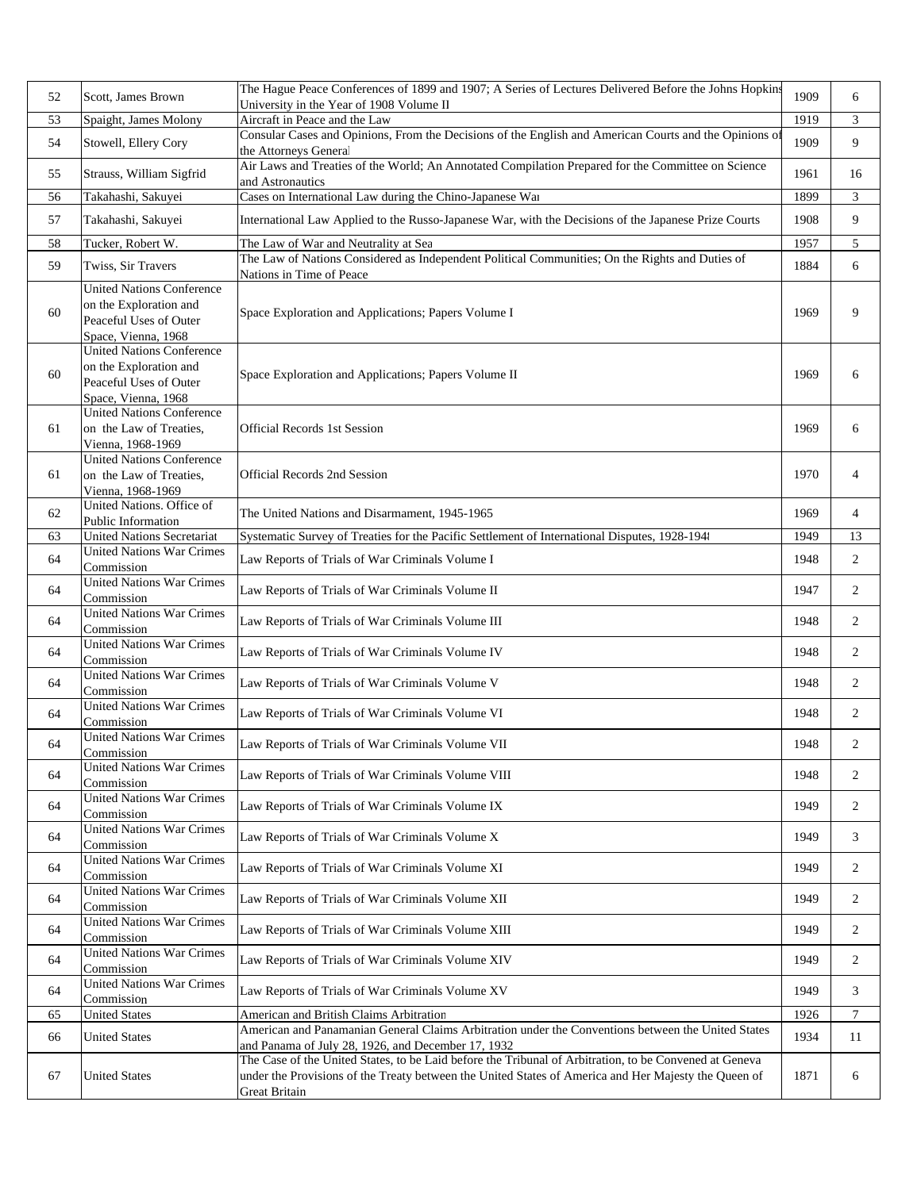| 52 | Scott, James Brown                                                                                          | The Hague Peace Conferences of 1899 and 1907; A Series of Lectures Delivered Before the Johns Hopkins<br>University in the Year of 1908 Volume II                                                                                      | 1909 | 6              |
|----|-------------------------------------------------------------------------------------------------------------|----------------------------------------------------------------------------------------------------------------------------------------------------------------------------------------------------------------------------------------|------|----------------|
| 53 | Spaight, James Molony                                                                                       | Aircraft in Peace and the Law                                                                                                                                                                                                          | 1919 | $\mathfrak{Z}$ |
| 54 | Stowell, Ellery Cory                                                                                        | Consular Cases and Opinions, From the Decisions of the English and American Courts and the Opinions of<br>the Attorneys General                                                                                                        | 1909 | 9              |
| 55 | Strauss, William Sigfrid                                                                                    | Air Laws and Treaties of the World; An Annotated Compilation Prepared for the Committee on Science<br>and Astronautics                                                                                                                 | 1961 | 16             |
| 56 | Takahashi, Sakuyei                                                                                          | Cases on International Law during the Chino-Japanese War                                                                                                                                                                               | 1899 | 3              |
| 57 | Takahashi, Sakuyei                                                                                          | International Law Applied to the Russo-Japanese War, with the Decisions of the Japanese Prize Courts                                                                                                                                   | 1908 | 9              |
| 58 | Tucker, Robert W.                                                                                           | The Law of War and Neutrality at Sea                                                                                                                                                                                                   | 1957 | 5              |
| 59 | Twiss, Sir Travers                                                                                          | The Law of Nations Considered as Independent Political Communities; On the Rights and Duties of<br>Nations in Time of Peace                                                                                                            | 1884 | 6              |
| 60 | <b>United Nations Conference</b><br>on the Exploration and<br>Peaceful Uses of Outer<br>Space, Vienna, 1968 | Space Exploration and Applications; Papers Volume I                                                                                                                                                                                    | 1969 | 9              |
| 60 | <b>United Nations Conference</b><br>on the Exploration and<br>Peaceful Uses of Outer<br>Space, Vienna, 1968 | Space Exploration and Applications; Papers Volume II                                                                                                                                                                                   | 1969 | 6              |
| 61 | <b>United Nations Conference</b><br>on the Law of Treaties.<br>Vienna, 1968-1969                            | <b>Official Records 1st Session</b>                                                                                                                                                                                                    | 1969 | 6              |
| 61 | <b>United Nations Conference</b><br>on the Law of Treaties,<br>Vienna, 1968-1969                            | Official Records 2nd Session                                                                                                                                                                                                           | 1970 | $\overline{4}$ |
| 62 | United Nations. Office of<br>Public Information                                                             | The United Nations and Disarmament, 1945-1965                                                                                                                                                                                          | 1969 | $\overline{4}$ |
| 63 | <b>United Nations Secretariat</b>                                                                           | Systematic Survey of Treaties for the Pacific Settlement of International Disputes, 1928-194                                                                                                                                           | 1949 | 13             |
| 64 | <b>United Nations War Crimes</b><br>Commission                                                              | Law Reports of Trials of War Criminals Volume I                                                                                                                                                                                        | 1948 | 2              |
| 64 | <b>United Nations War Crimes</b><br>Commission                                                              | Law Reports of Trials of War Criminals Volume II                                                                                                                                                                                       | 1947 | 2              |
| 64 | <b>United Nations War Crimes</b><br>Commission                                                              | Law Reports of Trials of War Criminals Volume III                                                                                                                                                                                      | 1948 | 2              |
| 64 | <b>United Nations War Crimes</b><br>Commission                                                              | Law Reports of Trials of War Criminals Volume IV                                                                                                                                                                                       | 1948 | 2              |
| 64 | <b>United Nations War Crimes</b><br>Commission                                                              | Law Reports of Trials of War Criminals Volume V                                                                                                                                                                                        | 1948 | 2              |
| 64 | <b>United Nations War Crimes</b><br>Commission                                                              | Law Reports of Trials of War Criminals Volume VI                                                                                                                                                                                       | 1948 | 2              |
| 64 | <b>United Nations War Crimes</b><br>Commission                                                              | Law Reports of Trials of War Criminals Volume VII                                                                                                                                                                                      | 1948 | 2              |
| 64 | <b>United Nations War Crimes</b><br>Commission                                                              | Law Reports of Trials of War Criminals Volume VIII                                                                                                                                                                                     | 1948 | 2              |
| 64 | <b>United Nations War Crimes</b><br>Commission                                                              | Law Reports of Trials of War Criminals Volume IX                                                                                                                                                                                       | 1949 | 2              |
| 64 | <b>United Nations War Crimes</b><br>Commission                                                              | Law Reports of Trials of War Criminals Volume X                                                                                                                                                                                        | 1949 | 3              |
| 64 | <b>United Nations War Crimes</b><br>Commission                                                              | Law Reports of Trials of War Criminals Volume XI                                                                                                                                                                                       | 1949 | 2              |
| 64 | <b>United Nations War Crimes</b><br>Commission                                                              | Law Reports of Trials of War Criminals Volume XII                                                                                                                                                                                      | 1949 | 2              |
| 64 | <b>United Nations War Crimes</b><br>Commission                                                              | Law Reports of Trials of War Criminals Volume XIII                                                                                                                                                                                     | 1949 | 2              |
| 64 | <b>United Nations War Crimes</b><br>Commission                                                              | Law Reports of Trials of War Criminals Volume XIV                                                                                                                                                                                      | 1949 | 2              |
| 64 | <b>United Nations War Crimes</b><br>Commission                                                              | Law Reports of Trials of War Criminals Volume XV                                                                                                                                                                                       | 1949 | 3              |
| 65 | <b>United States</b>                                                                                        | American and British Claims Arbitration                                                                                                                                                                                                | 1926 | 7              |
| 66 | <b>United States</b>                                                                                        | American and Panamanian General Claims Arbitration under the Conventions between the United States<br>and Panama of July 28, 1926, and December 17, 1932                                                                               | 1934 | 11             |
| 67 | <b>United States</b>                                                                                        | The Case of the United States, to be Laid before the Tribunal of Arbitration, to be Convened at Geneva<br>under the Provisions of the Treaty between the United States of America and Her Majesty the Queen of<br><b>Great Britain</b> | 1871 | 6              |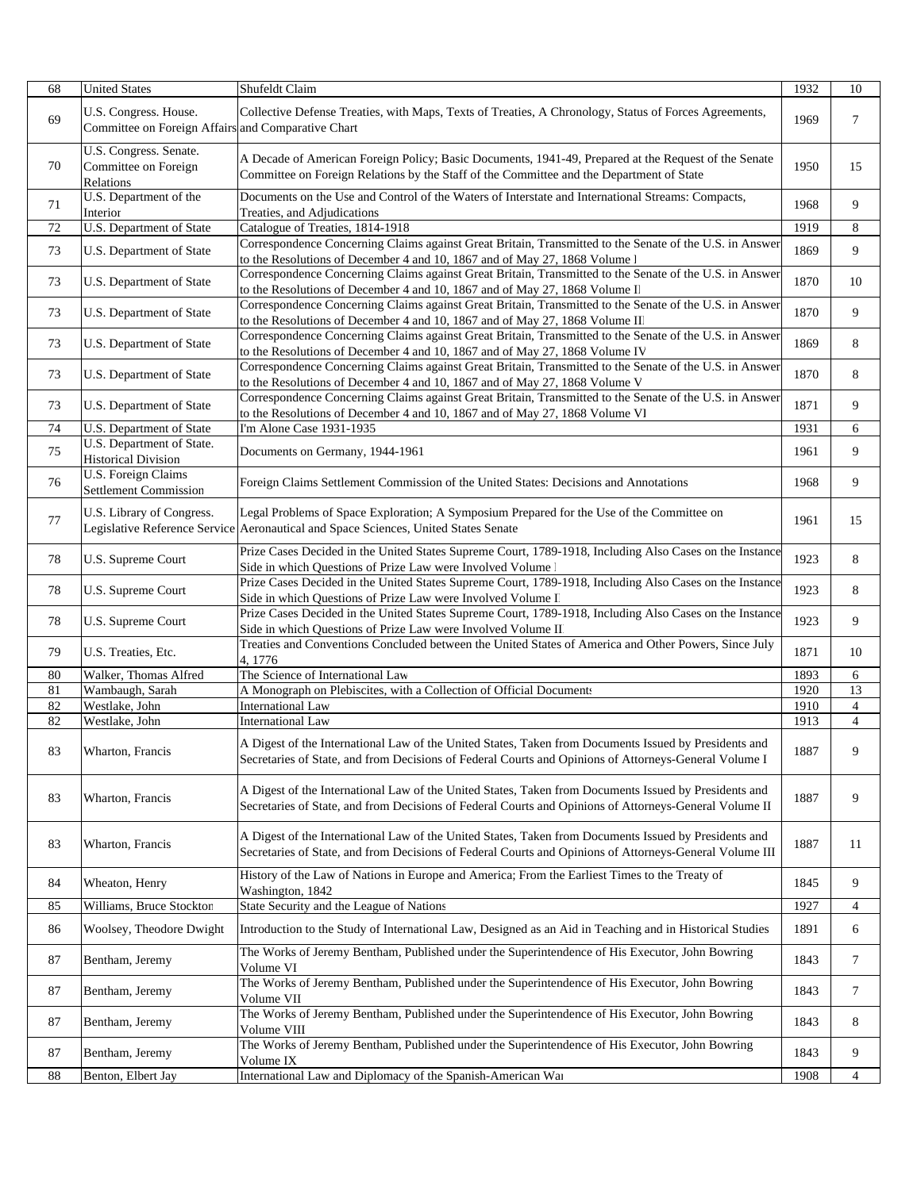| 68       | <b>United States</b>                                                        | Shufeldt Claim                                                                                                                                                                                                                             | 1932         | 10                  |
|----------|-----------------------------------------------------------------------------|--------------------------------------------------------------------------------------------------------------------------------------------------------------------------------------------------------------------------------------------|--------------|---------------------|
| 69       | U.S. Congress. House.<br>Committee on Foreign Affairs and Comparative Chart | Collective Defense Treaties, with Maps, Texts of Treaties, A Chronology, Status of Forces Agreements,                                                                                                                                      | 1969         | $\overline{7}$      |
| 70       | U.S. Congress. Senate.<br>Committee on Foreign<br>Relations                 | A Decade of American Foreign Policy; Basic Documents, 1941-49, Prepared at the Request of the Senate<br>Committee on Foreign Relations by the Staff of the Committee and the Department of State                                           | 1950         | 15                  |
| 71       | U.S. Department of the<br>Interior                                          | Documents on the Use and Control of the Waters of Interstate and International Streams: Compacts,<br>Treaties, and Adjudications                                                                                                           | 1968         | 9                   |
| 72       | U.S. Department of State                                                    | Catalogue of Treaties, 1814-1918                                                                                                                                                                                                           | 1919         | 8                   |
| 73       | U.S. Department of State                                                    | Correspondence Concerning Claims against Great Britain, Transmitted to the Senate of the U.S. in Answer<br>to the Resolutions of December 4 and 10, 1867 and of May 27, 1868 Volume l                                                      | 1869         | 9                   |
| 73       | U.S. Department of State                                                    | Correspondence Concerning Claims against Great Britain, Transmitted to the Senate of the U.S. in Answer<br>to the Resolutions of December 4 and 10, 1867 and of May 27, 1868 Volume II                                                     | 1870         | 10                  |
| 73       | U.S. Department of State                                                    | Correspondence Concerning Claims against Great Britain, Transmitted to the Senate of the U.S. in Answer<br>to the Resolutions of December 4 and 10, 1867 and of May 27, 1868 Volume III                                                    | 1870         | 9                   |
| 73       | U.S. Department of State                                                    | Correspondence Concerning Claims against Great Britain, Transmitted to the Senate of the U.S. in Answer<br>to the Resolutions of December 4 and 10, 1867 and of May 27, 1868 Volume IV                                                     | 1869         | 8                   |
| 73       | U.S. Department of State                                                    | Correspondence Concerning Claims against Great Britain, Transmitted to the Senate of the U.S. in Answer<br>to the Resolutions of December 4 and 10, 1867 and of May 27, 1868 Volume V                                                      | 1870         | 8                   |
| 73       | U.S. Department of State                                                    | Correspondence Concerning Claims against Great Britain, Transmitted to the Senate of the U.S. in Answer<br>to the Resolutions of December 4 and 10, 1867 and of May 27, 1868 Volume Vl                                                     | 1871         | 9                   |
| 74       | U.S. Department of State                                                    | I'm Alone Case 1931-1935                                                                                                                                                                                                                   | 1931         | 6                   |
| 75       | U.S. Department of State.<br><b>Historical Division</b>                     | Documents on Germany, 1944-1961                                                                                                                                                                                                            | 1961         | 9                   |
| 76       | U.S. Foreign Claims<br>Settlement Commission                                | Foreign Claims Settlement Commission of the United States: Decisions and Annotations                                                                                                                                                       | 1968         | 9                   |
| 77       | U.S. Library of Congress.                                                   | Legal Problems of Space Exploration; A Symposium Prepared for the Use of the Committee on<br>Legislative Reference Service Aeronautical and Space Sciences, United States Senate                                                           | 1961         | 15                  |
| 78       | U.S. Supreme Court                                                          | Prize Cases Decided in the United States Supreme Court, 1789-1918, Including Also Cases on the Instance<br>Side in which Questions of Prize Law were Involved Volume l                                                                     | 1923         | 8                   |
| 78       | U.S. Supreme Court                                                          | Prize Cases Decided in the United States Supreme Court, 1789-1918, Including Also Cases on the Instance<br>Side in which Questions of Prize Law were Involved Volume I                                                                     | 1923         | 8                   |
| 78       | U.S. Supreme Court                                                          | Prize Cases Decided in the United States Supreme Court, 1789-1918, Including Also Cases on the Instance<br>Side in which Questions of Prize Law were Involved Volume II                                                                    | 1923         | 9                   |
| 79       | U.S. Treaties, Etc.                                                         | Treaties and Conventions Concluded between the United States of America and Other Powers, Since July<br>4,1776                                                                                                                             | 1871         | 10                  |
| 80       | Walker, Thomas Alfred                                                       | The Science of International Law                                                                                                                                                                                                           | 1893         | 6                   |
| 81       | Wambaugh, Sarah                                                             | A Monograph on Plebiscites, with a Collection of Official Documents                                                                                                                                                                        | 1920         | 13                  |
| 82       | Westlake, John                                                              | <b>International Law</b>                                                                                                                                                                                                                   | 1910         | $\overline{4}$      |
| 82<br>83 | Westlake, John<br>Wharton, Francis                                          | <b>International Law</b><br>A Digest of the International Law of the United States, Taken from Documents Issued by Presidents and<br>Secretaries of State, and from Decisions of Federal Courts and Opinions of Attorneys-General Volume I | 1913<br>1887 | $\overline{4}$<br>9 |
| 83       | Wharton, Francis                                                            | A Digest of the International Law of the United States, Taken from Documents Issued by Presidents and<br>Secretaries of State, and from Decisions of Federal Courts and Opinions of Attorneys-General Volume II                            | 1887         | 9                   |
| 83       | Wharton, Francis                                                            | A Digest of the International Law of the United States, Taken from Documents Issued by Presidents and<br>Secretaries of State, and from Decisions of Federal Courts and Opinions of Attorneys-General Volume III                           | 1887         | 11                  |
| 84       | Wheaton, Henry                                                              | History of the Law of Nations in Europe and America; From the Earliest Times to the Treaty of<br>Washington, 1842                                                                                                                          | 1845         | 9                   |
| 85       | Williams, Bruce Stockton                                                    | State Security and the League of Nations                                                                                                                                                                                                   | 1927         | $\overline{4}$      |
| 86       | Woolsey, Theodore Dwight                                                    | Introduction to the Study of International Law, Designed as an Aid in Teaching and in Historical Studies                                                                                                                                   | 1891         | 6                   |
| 87       | Bentham, Jeremy                                                             | The Works of Jeremy Bentham, Published under the Superintendence of His Executor, John Bowring<br>Volume VI                                                                                                                                | 1843         | 7                   |
| 87       | Bentham, Jeremy                                                             | The Works of Jeremy Bentham, Published under the Superintendence of His Executor, John Bowring<br>Volume VII                                                                                                                               | 1843         | 7                   |
| 87       | Bentham, Jeremy                                                             | The Works of Jeremy Bentham, Published under the Superintendence of His Executor, John Bowring<br>Volume VIII                                                                                                                              | 1843         | 8                   |
| 87       | Bentham, Jeremy                                                             | The Works of Jeremy Bentham, Published under the Superintendence of His Executor, John Bowring<br>Volume IX                                                                                                                                | 1843         | 9                   |
| 88       | Benton, Elbert Jay                                                          | International Law and Diplomacy of the Spanish-American War                                                                                                                                                                                | 1908         | $\overline{4}$      |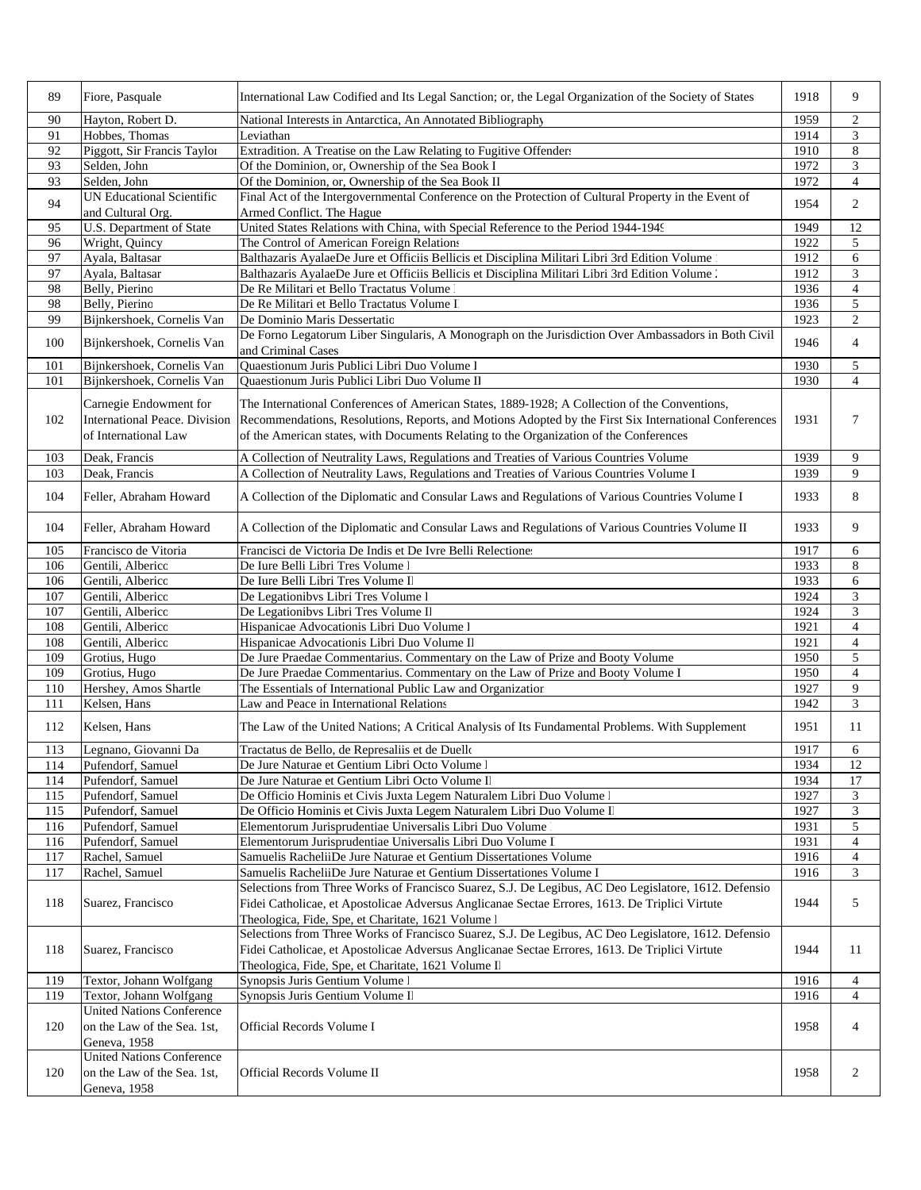| 89  | Fiore, Pasquale                                                                 | International Law Codified and Its Legal Sanction; or, the Legal Organization of the Society of States                                                                                                                                                                                                              | 1918 | 9                           |
|-----|---------------------------------------------------------------------------------|---------------------------------------------------------------------------------------------------------------------------------------------------------------------------------------------------------------------------------------------------------------------------------------------------------------------|------|-----------------------------|
| 90  | Hayton, Robert D.                                                               | National Interests in Antarctica, An Annotated Bibliography                                                                                                                                                                                                                                                         | 1959 | $\overline{c}$              |
| 91  | Hobbes, Thomas                                                                  | Leviathan                                                                                                                                                                                                                                                                                                           | 1914 | 3                           |
| 92  | Piggott, Sir Francis Taylor                                                     | Extradition. A Treatise on the Law Relating to Fugitive Offenders                                                                                                                                                                                                                                                   | 1910 | $\,8\,$                     |
| 93  | Selden, John                                                                    | Of the Dominion, or, Ownership of the Sea Book I                                                                                                                                                                                                                                                                    | 1972 | 3                           |
| 93  | Selden, John                                                                    | Of the Dominion, or, Ownership of the Sea Book II                                                                                                                                                                                                                                                                   | 1972 | $\overline{4}$              |
| 94  | <b>UN Educational Scientific</b><br>and Cultural Org.                           | Final Act of the Intergovernmental Conference on the Protection of Cultural Property in the Event of<br>Armed Conflict. The Hague                                                                                                                                                                                   | 1954 | 2                           |
| 95  | U.S. Department of State                                                        | United States Relations with China, with Special Reference to the Period 1944-1949                                                                                                                                                                                                                                  | 1949 | 12                          |
| 96  | Wright, Quincy                                                                  | The Control of American Foreign Relations                                                                                                                                                                                                                                                                           | 1922 | 5                           |
| 97  | Ayala, Baltasar                                                                 | Balthazaris AyalaeDe Jure et Officiis Bellicis et Disciplina Militari Libri 3rd Edition Volume                                                                                                                                                                                                                      | 1912 | 6                           |
| 97  | Ayala, Baltasar                                                                 | Balthazaris AyalaeDe Jure et Officiis Bellicis et Disciplina Militari Libri 3rd Edition Volume .                                                                                                                                                                                                                    | 1912 | $\mathfrak z$               |
| 98  | Belly, Pierino                                                                  | De Re Militari et Bello Tractatus Volume                                                                                                                                                                                                                                                                            | 1936 | $\overline{4}$              |
| 98  | Belly, Pierino                                                                  | De Re Militari et Bello Tractatus Volume I                                                                                                                                                                                                                                                                          | 1936 | $\sqrt{5}$                  |
| 99  | Bijnkershoek, Cornelis Van                                                      | De Dominio Maris Dessertatio                                                                                                                                                                                                                                                                                        | 1923 | $\mathbf{2}$                |
|     |                                                                                 | De Forno Legatorum Liber Singularis, A Monograph on the Jurisdiction Over Ambassadors in Both Civil                                                                                                                                                                                                                 |      |                             |
| 100 | Bijnkershoek, Cornelis Van                                                      | and Criminal Cases                                                                                                                                                                                                                                                                                                  | 1946 | $\overline{4}$              |
| 101 | Bijnkershoek, Cornelis Van                                                      | Quaestionum Juris Publici Libri Duo Volume l                                                                                                                                                                                                                                                                        | 1930 | 5                           |
| 101 | Bijnkershoek, Cornelis Van                                                      | Quaestionum Juris Publici Libri Duo Volume II                                                                                                                                                                                                                                                                       | 1930 | $\overline{4}$              |
|     |                                                                                 |                                                                                                                                                                                                                                                                                                                     |      |                             |
|     | Carnegie Endowment for                                                          | The International Conferences of American States, 1889-1928; A Collection of the Conventions,                                                                                                                                                                                                                       |      |                             |
| 102 | <b>International Peace. Division</b>                                            | Recommendations, Resolutions, Reports, and Motions Adopted by the First Six International Conferences                                                                                                                                                                                                               | 1931 | 7                           |
|     | of International Law                                                            | of the American states, with Documents Relating to the Organization of the Conferences                                                                                                                                                                                                                              |      |                             |
| 103 | Deak, Francis                                                                   | A Collection of Neutrality Laws, Regulations and Treaties of Various Countries Volume                                                                                                                                                                                                                               | 1939 | 9                           |
| 103 | Deak, Francis                                                                   | A Collection of Neutrality Laws, Regulations and Treaties of Various Countries Volume I                                                                                                                                                                                                                             | 1939 | 9                           |
| 104 | Feller, Abraham Howard                                                          | A Collection of the Diplomatic and Consular Laws and Regulations of Various Countries Volume I                                                                                                                                                                                                                      | 1933 | 8                           |
| 104 | Feller, Abraham Howard                                                          | A Collection of the Diplomatic and Consular Laws and Regulations of Various Countries Volume II                                                                                                                                                                                                                     | 1933 | 9                           |
| 105 | Francisco de Vitoria                                                            | Francisci de Victoria De Indis et De Ivre Belli Relectione:                                                                                                                                                                                                                                                         | 1917 | 6                           |
| 106 | Gentili, Albericc                                                               | De Iure Belli Libri Tres Volume l                                                                                                                                                                                                                                                                                   | 1933 | $\,$ 8 $\,$                 |
| 106 | Gentili, Albericc                                                               | De Iure Belli Libri Tres Volume Il                                                                                                                                                                                                                                                                                  | 1933 | 6                           |
| 107 | Gentili, Albericc                                                               | De Legationibvs Libri Tres Volume l                                                                                                                                                                                                                                                                                 | 1924 | 3                           |
| 107 | Gentili, Albericc                                                               | De Legationibvs Libri Tres Volume Il                                                                                                                                                                                                                                                                                | 1924 | $\mathfrak{Z}$              |
| 108 | Gentili, Albericc                                                               | Hispanicae Advocationis Libri Duo Volume l                                                                                                                                                                                                                                                                          | 1921 | $\overline{4}$              |
| 108 | Gentili, Albericc                                                               | Hispanicae Advocationis Libri Duo Volume Il                                                                                                                                                                                                                                                                         | 1921 | $\overline{4}$              |
| 109 | Grotius, Hugo                                                                   | De Jure Praedae Commentarius. Commentary on the Law of Prize and Booty Volume                                                                                                                                                                                                                                       | 1950 | 5                           |
| 109 | Grotius, Hugo                                                                   | De Jure Praedae Commentarius. Commentary on the Law of Prize and Booty Volume I                                                                                                                                                                                                                                     | 1950 | $\overline{4}$              |
| 110 | Hershey, Amos Shartle                                                           | The Essentials of International Public Law and Organization                                                                                                                                                                                                                                                         | 1927 | 9                           |
| 111 | Kelsen, Hans                                                                    | Law and Peace in International Relations                                                                                                                                                                                                                                                                            | 1942 | 3                           |
| 112 | Kelsen, Hans                                                                    | The Law of the United Nations; A Critical Analysis of Its Fundamental Problems. With Supplement                                                                                                                                                                                                                     | 1951 | 11                          |
| 113 | Legnano, Giovanni Da                                                            | Tractatus de Bello, de Represaliis et de Duello                                                                                                                                                                                                                                                                     | 1917 | 6                           |
| 114 | Pufendorf, Samuel                                                               | De Jure Naturae et Gentium Libri Octo Volume l                                                                                                                                                                                                                                                                      | 1934 | 12                          |
| 114 | Pufendorf, Samuel                                                               | De Jure Naturae et Gentium Libri Octo Volume Il                                                                                                                                                                                                                                                                     | 1934 | 17                          |
| 115 | Pufendorf, Samuel                                                               | De Officio Hominis et Civis Juxta Legem Naturalem Libri Duo Volume l                                                                                                                                                                                                                                                | 1927 | 3                           |
| 115 | Pufendorf, Samuel                                                               | De Officio Hominis et Civis Juxta Legem Naturalem Libri Duo Volume II                                                                                                                                                                                                                                               | 1927 | $\ensuremath{\mathfrak{Z}}$ |
| 116 | Pufendorf, Samuel                                                               | Elementorum Jurisprudentiae Universalis Libri Duo Volume                                                                                                                                                                                                                                                            | 1931 | $\sqrt{5}$                  |
| 116 | Pufendorf, Samuel                                                               | Elementorum Jurisprudentiae Universalis Libri Duo Volume I                                                                                                                                                                                                                                                          | 1931 | $\overline{4}$              |
| 117 | Rachel, Samuel                                                                  | Samuelis RacheliiDe Jure Naturae et Gentium Dissertationes Volume                                                                                                                                                                                                                                                   | 1916 | $\overline{4}$              |
| 117 | Rachel, Samuel                                                                  | Samuelis RacheliiDe Jure Naturae et Gentium Dissertationes Volume I                                                                                                                                                                                                                                                 | 1916 | 3                           |
| 118 | Suarez, Francisco                                                               | Selections from Three Works of Francisco Suarez, S.J. De Legibus, AC Deo Legislatore, 1612. Defensio<br>Fidei Catholicae, et Apostolicae Adversus Anglicanae Sectae Errores, 1613. De Triplici Virtute                                                                                                              | 1944 | 5                           |
| 118 | Suarez, Francisco                                                               | Theologica, Fide, Spe, et Charitate, 1621 Volume l<br>Selections from Three Works of Francisco Suarez, S.J. De Legibus, AC Deo Legislatore, 1612. Defensio<br>Fidei Catholicae, et Apostolicae Adversus Anglicanae Sectae Errores, 1613. De Triplici Virtute<br>Theologica, Fide, Spe, et Charitate, 1621 Volume Il | 1944 | 11                          |
| 119 | Textor, Johann Wolfgang                                                         | Synopsis Juris Gentium Volume 1                                                                                                                                                                                                                                                                                     | 1916 | $\overline{4}$              |
| 119 | Textor, Johann Wolfgang                                                         | Synopsis Juris Gentium Volume II                                                                                                                                                                                                                                                                                    | 1916 | $\overline{4}$              |
| 120 | <b>United Nations Conference</b><br>on the Law of the Sea. 1st,<br>Geneva, 1958 | Official Records Volume I                                                                                                                                                                                                                                                                                           | 1958 | 4                           |
| 120 | <b>United Nations Conference</b><br>on the Law of the Sea. 1st,<br>Geneva, 1958 | Official Records Volume II                                                                                                                                                                                                                                                                                          | 1958 | 2                           |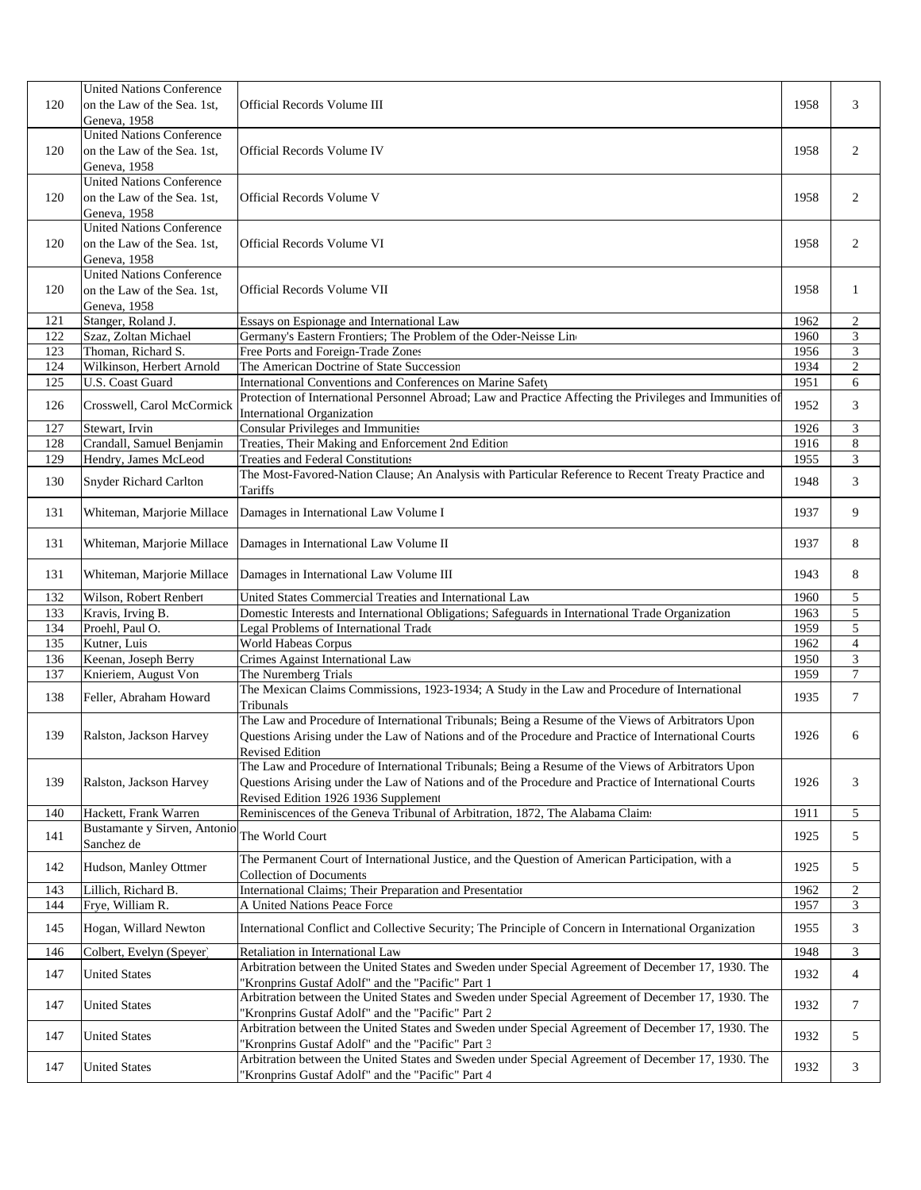|     | <b>United Nations Conference</b>                                |                                                                                                                                                                                                           |      |                  |
|-----|-----------------------------------------------------------------|-----------------------------------------------------------------------------------------------------------------------------------------------------------------------------------------------------------|------|------------------|
| 120 | on the Law of the Sea. 1st.<br>Geneva, 1958                     | Official Records Volume III                                                                                                                                                                               | 1958 | 3                |
|     | <b>United Nations Conference</b>                                |                                                                                                                                                                                                           |      |                  |
| 120 | on the Law of the Sea. 1st,                                     | Official Records Volume IV                                                                                                                                                                                | 1958 | 2                |
|     | Geneva, 1958                                                    |                                                                                                                                                                                                           |      |                  |
| 120 | <b>United Nations Conference</b><br>on the Law of the Sea. 1st, | Official Records Volume V                                                                                                                                                                                 | 1958 | 2                |
|     | Geneva, 1958                                                    |                                                                                                                                                                                                           |      |                  |
|     | <b>United Nations Conference</b>                                |                                                                                                                                                                                                           |      |                  |
| 120 | on the Law of the Sea. 1st,                                     | Official Records Volume VI                                                                                                                                                                                | 1958 | 2                |
|     | Geneva, 1958<br><b>United Nations Conference</b>                |                                                                                                                                                                                                           |      |                  |
| 120 | on the Law of the Sea. 1st,                                     | Official Records Volume VII                                                                                                                                                                               | 1958 | 1                |
|     | Geneva, 1958                                                    |                                                                                                                                                                                                           |      |                  |
| 121 | Stanger, Roland J.                                              | Essays on Espionage and International Law                                                                                                                                                                 | 1962 | $\boldsymbol{2}$ |
| 122 | Szaz, Zoltan Michael                                            | Germany's Eastern Frontiers; The Problem of the Oder-Neisse Line                                                                                                                                          | 1960 | 3                |
| 123 | Thoman, Richard S.                                              | Free Ports and Foreign-Trade Zones                                                                                                                                                                        | 1956 | 3                |
| 124 | Wilkinson, Herbert Arnold                                       | The American Doctrine of State Succession                                                                                                                                                                 | 1934 | $\sqrt{2}$       |
| 125 | <b>U.S. Coast Guard</b>                                         | International Conventions and Conferences on Marine Safety                                                                                                                                                | 1951 | 6                |
| 126 | Crosswell, Carol McCormick                                      | Protection of International Personnel Abroad; Law and Practice Affecting the Privileges and Immunities of<br><b>International Organization</b>                                                            | 1952 | 3                |
| 127 | Stewart, Irvin                                                  | <b>Consular Privileges and Immunities</b>                                                                                                                                                                 | 1926 | 3                |
| 128 | Crandall, Samuel Benjamin                                       | Treaties, Their Making and Enforcement 2nd Edition                                                                                                                                                        | 1916 | 8                |
| 129 | Hendry, James McLeod                                            | <b>Treaties and Federal Constitutions</b>                                                                                                                                                                 | 1955 | 3                |
| 130 | <b>Snyder Richard Carlton</b>                                   | The Most-Favored-Nation Clause; An Analysis with Particular Reference to Recent Treaty Practice and<br>Tariffs                                                                                            | 1948 | 3                |
| 131 | Whiteman, Marjorie Millace                                      | Damages in International Law Volume I                                                                                                                                                                     | 1937 | 9                |
| 131 | Whiteman, Marjorie Millace                                      | Damages in International Law Volume II                                                                                                                                                                    | 1937 | 8                |
| 131 | Whiteman, Marjorie Millace                                      | Damages in International Law Volume III                                                                                                                                                                   | 1943 | 8                |
| 132 | Wilson, Robert Renbert                                          | United States Commercial Treaties and International Law                                                                                                                                                   | 1960 | 5                |
| 133 | Kravis, Irving B.                                               | Domestic Interests and International Obligations; Safeguards in International Trade Organization                                                                                                          | 1963 | $\sqrt{5}$       |
| 134 | Proehl, Paul O.                                                 | Legal Problems of International Trade                                                                                                                                                                     | 1959 | 5                |
| 135 | Kutner, Luis                                                    | World Habeas Corpus                                                                                                                                                                                       | 1962 | $\overline{4}$   |
| 136 | Keenan, Joseph Berry                                            | Crimes Against International Law                                                                                                                                                                          | 1950 | 3                |
| 137 | Knieriem, August Von                                            | The Nuremberg Trials                                                                                                                                                                                      | 1959 | $\boldsymbol{7}$ |
| 138 | Feller, Abraham Howard                                          | The Mexican Claims Commissions, 1923-1934; A Study in the Law and Procedure of International<br>Tribunals                                                                                                 | 1935 | $\tau$           |
| 139 |                                                                 | The Law and Procedure of International Tribunals; Being a Resume of the Views of Arbitrators Upon<br>Questions Arising under the Law of Nations and of the Procedure and Practice of International Courts | 1926 | 6                |
|     | Ralston, Jackson Harvey                                         | Revised Edition                                                                                                                                                                                           |      |                  |
|     |                                                                 | The Law and Procedure of International Tribunals; Being a Resume of the Views of Arbitrators Upon                                                                                                         |      |                  |
| 139 | Ralston, Jackson Harvey                                         | Questions Arising under the Law of Nations and of the Procedure and Practice of International Courts                                                                                                      | 1926 | 3                |
|     |                                                                 | Revised Edition 1926 1936 Supplement                                                                                                                                                                      |      |                  |
| 140 | Hackett, Frank Warren                                           | Reminiscences of the Geneva Tribunal of Arbitration, 1872, The Alabama Claims                                                                                                                             | 1911 | 5                |
| 141 | Bustamante y Sirven, Antonio<br>Sanchez de                      | The World Court                                                                                                                                                                                           | 1925 | 5                |
| 142 | Hudson, Manley Ottmer                                           | The Permanent Court of International Justice, and the Question of American Participation, with a<br><b>Collection of Documents</b>                                                                        | 1925 | 5                |
| 143 | Lillich, Richard B.                                             | International Claims; Their Preparation and Presentation                                                                                                                                                  | 1962 | $\overline{c}$   |
| 144 | Frye, William R.                                                | A United Nations Peace Force                                                                                                                                                                              | 1957 | 3                |
| 145 | Hogan, Willard Newton                                           | International Conflict and Collective Security; The Principle of Concern in International Organization                                                                                                    | 1955 | 3                |
| 146 | Colbert, Evelyn (Speyer)                                        | Retaliation in International Law                                                                                                                                                                          | 1948 | $\mathfrak{Z}$   |
| 147 | <b>United States</b>                                            | Arbitration between the United States and Sweden under Special Agreement of December 17, 1930. The<br>'Kronprins Gustaf Adolf" and the "Pacific" Part 1                                                   | 1932 | $\overline{4}$   |
| 147 | <b>United States</b>                                            | Arbitration between the United States and Sweden under Special Agreement of December 17, 1930. The<br>'Kronprins Gustaf Adolf" and the "Pacific" Part 2                                                   | 1932 | 7                |
| 147 | <b>United States</b>                                            | Arbitration between the United States and Sweden under Special Agreement of December 17, 1930. The<br>Kronprins Gustaf Adolf" and the "Pacific" Part 3                                                    | 1932 | 5                |
| 147 | <b>United States</b>                                            | Arbitration between the United States and Sweden under Special Agreement of December 17, 1930. The                                                                                                        | 1932 | 3                |
|     |                                                                 | 'Kronprins Gustaf Adolf" and the "Pacific" Part 4                                                                                                                                                         |      |                  |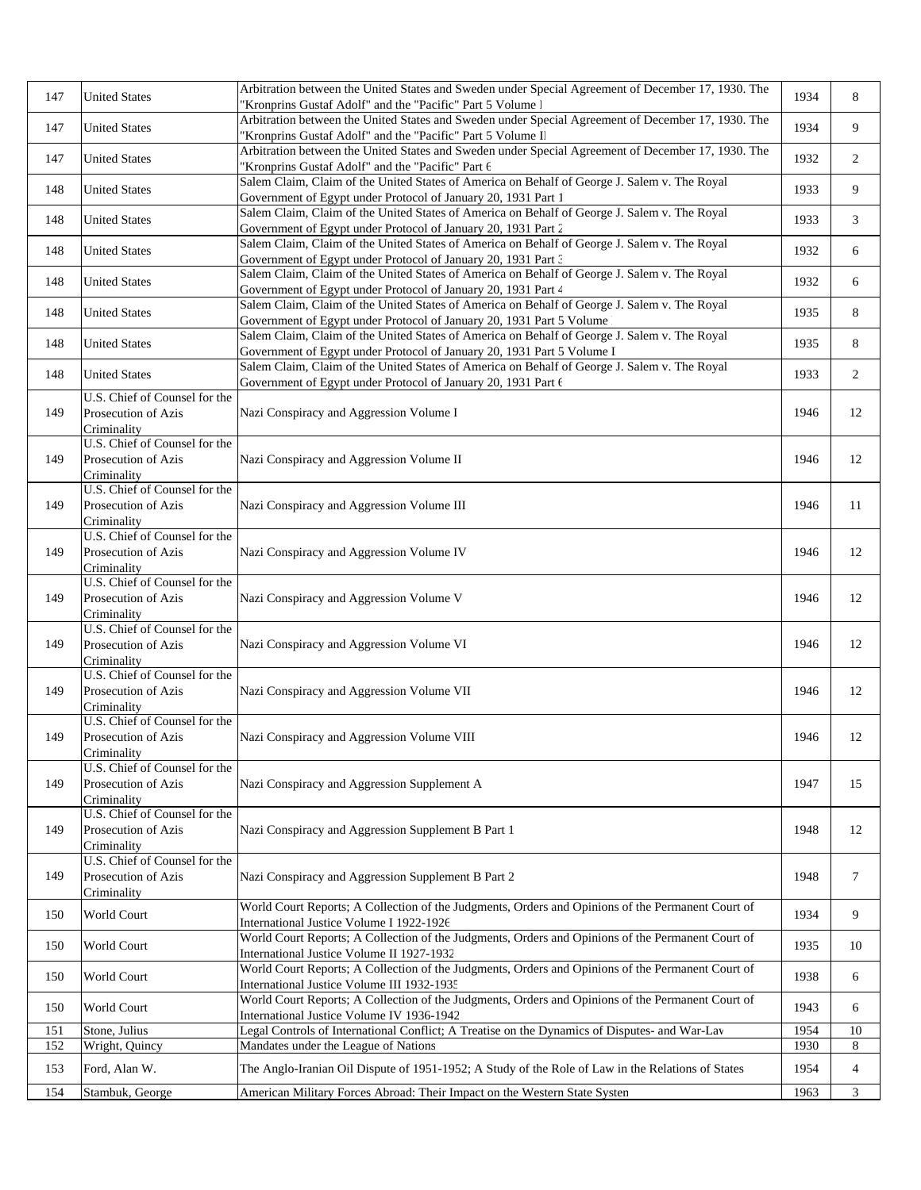| 147 | <b>United States</b>                                                | Arbitration between the United States and Sweden under Special Agreement of December 17, 1930. The<br>'Kronprins Gustaf Adolf" and the "Pacific" Part 5 Volume l       | 1934 | 8              |
|-----|---------------------------------------------------------------------|------------------------------------------------------------------------------------------------------------------------------------------------------------------------|------|----------------|
| 147 | <b>United States</b>                                                | Arbitration between the United States and Sweden under Special Agreement of December 17, 1930. The<br>'Kronprins Gustaf Adolf" and the "Pacific" Part 5 Volume II      | 1934 | 9              |
| 147 | <b>United States</b>                                                | Arbitration between the United States and Sweden under Special Agreement of December 17, 1930. The<br>'Kronprins Gustaf Adolf" and the "Pacific" Part 6                | 1932 | 2              |
| 148 | <b>United States</b>                                                | Salem Claim, Claim of the United States of America on Behalf of George J. Salem v. The Royal<br>Government of Egypt under Protocol of January 20, 1931 Part 1          | 1933 | 9              |
| 148 | <b>United States</b>                                                | Salem Claim, Claim of the United States of America on Behalf of George J. Salem v. The Royal<br>Government of Egypt under Protocol of January 20, 1931 Part 2          | 1933 | 3              |
| 148 | <b>United States</b>                                                | Salem Claim, Claim of the United States of America on Behalf of George J. Salem v. The Royal<br>Government of Egypt under Protocol of January 20, 1931 Part 3          | 1932 | 6              |
| 148 | <b>United States</b>                                                | Salem Claim, Claim of the United States of America on Behalf of George J. Salem v. The Royal<br>Government of Egypt under Protocol of January 20, 1931 Part 4          | 1932 | 6              |
| 148 | <b>United States</b>                                                | Salem Claim, Claim of the United States of America on Behalf of George J. Salem v. The Royal<br>Government of Egypt under Protocol of January 20, 1931 Part 5 Volume   | 1935 | 8              |
| 148 | <b>United States</b>                                                | Salem Claim, Claim of the United States of America on Behalf of George J. Salem v. The Royal<br>Government of Egypt under Protocol of January 20, 1931 Part 5 Volume I | 1935 | 8              |
| 148 | <b>United States</b>                                                | Salem Claim, Claim of the United States of America on Behalf of George J. Salem v. The Royal<br>Government of Egypt under Protocol of January 20, 1931 Part 6          | 1933 | 2              |
| 149 | U.S. Chief of Counsel for the<br>Prosecution of Azis<br>Criminality | Nazi Conspiracy and Aggression Volume I                                                                                                                                | 1946 | 12             |
| 149 | U.S. Chief of Counsel for the<br>Prosecution of Azis<br>Criminality | Nazi Conspiracy and Aggression Volume II                                                                                                                               | 1946 | 12             |
| 149 | U.S. Chief of Counsel for the<br>Prosecution of Azis<br>Criminality | Nazi Conspiracy and Aggression Volume III                                                                                                                              | 1946 | 11             |
| 149 | U.S. Chief of Counsel for the<br>Prosecution of Azis<br>Criminality | Nazi Conspiracy and Aggression Volume IV                                                                                                                               | 1946 | 12             |
| 149 | U.S. Chief of Counsel for the<br>Prosecution of Azis<br>Criminality | Nazi Conspiracy and Aggression Volume V                                                                                                                                | 1946 | 12             |
| 149 | U.S. Chief of Counsel for the<br>Prosecution of Azis<br>Criminality | Nazi Conspiracy and Aggression Volume VI                                                                                                                               | 1946 | 12             |
| 149 | U.S. Chief of Counsel for the<br>Prosecution of Azis<br>Criminality | Nazi Conspiracy and Aggression Volume VII                                                                                                                              | 1946 | 12             |
| 149 | U.S. Chief of Counsel for the<br>Prosecution of Azis<br>Criminality | Nazi Conspiracy and Aggression Volume VIII                                                                                                                             | 1946 | 12             |
| 149 | U.S. Chief of Counsel for the<br>Prosecution of Azis<br>Criminality | Nazi Conspiracy and Aggression Supplement A                                                                                                                            | 1947 | 15             |
| 149 | U.S. Chief of Counsel for the<br>Prosecution of Azis<br>Criminality | Nazi Conspiracy and Aggression Supplement B Part 1                                                                                                                     | 1948 | 12             |
| 149 | U.S. Chief of Counsel for the<br>Prosecution of Azis<br>Criminality | Nazi Conspiracy and Aggression Supplement B Part 2                                                                                                                     | 1948 | 7              |
| 150 | World Court                                                         | World Court Reports; A Collection of the Judgments, Orders and Opinions of the Permanent Court of<br>International Justice Volume I 1922-1926                          | 1934 | 9              |
| 150 | World Court                                                         | World Court Reports; A Collection of the Judgments, Orders and Opinions of the Permanent Court of<br>International Justice Volume II 1927-1932                         | 1935 | 10             |
| 150 | World Court                                                         | World Court Reports; A Collection of the Judgments, Orders and Opinions of the Permanent Court of<br>International Justice Volume III 1932-1935                        | 1938 | 6              |
| 150 | World Court                                                         | World Court Reports; A Collection of the Judgments, Orders and Opinions of the Permanent Court of<br>International Justice Volume IV 1936-1942                         | 1943 | 6              |
| 151 | Stone, Julius                                                       | Legal Controls of International Conflict; A Treatise on the Dynamics of Disputes- and War-Lav                                                                          | 1954 | 10             |
| 152 | Wright, Quincy                                                      | Mandates under the League of Nations                                                                                                                                   | 1930 | 8              |
| 153 | Ford, Alan W.                                                       | The Anglo-Iranian Oil Dispute of 1951-1952; A Study of the Role of Law in the Relations of States                                                                      | 1954 | $\overline{4}$ |
| 154 | Stambuk, George                                                     | American Military Forces Abroad: Their Impact on the Western State Systen                                                                                              | 1963 | 3              |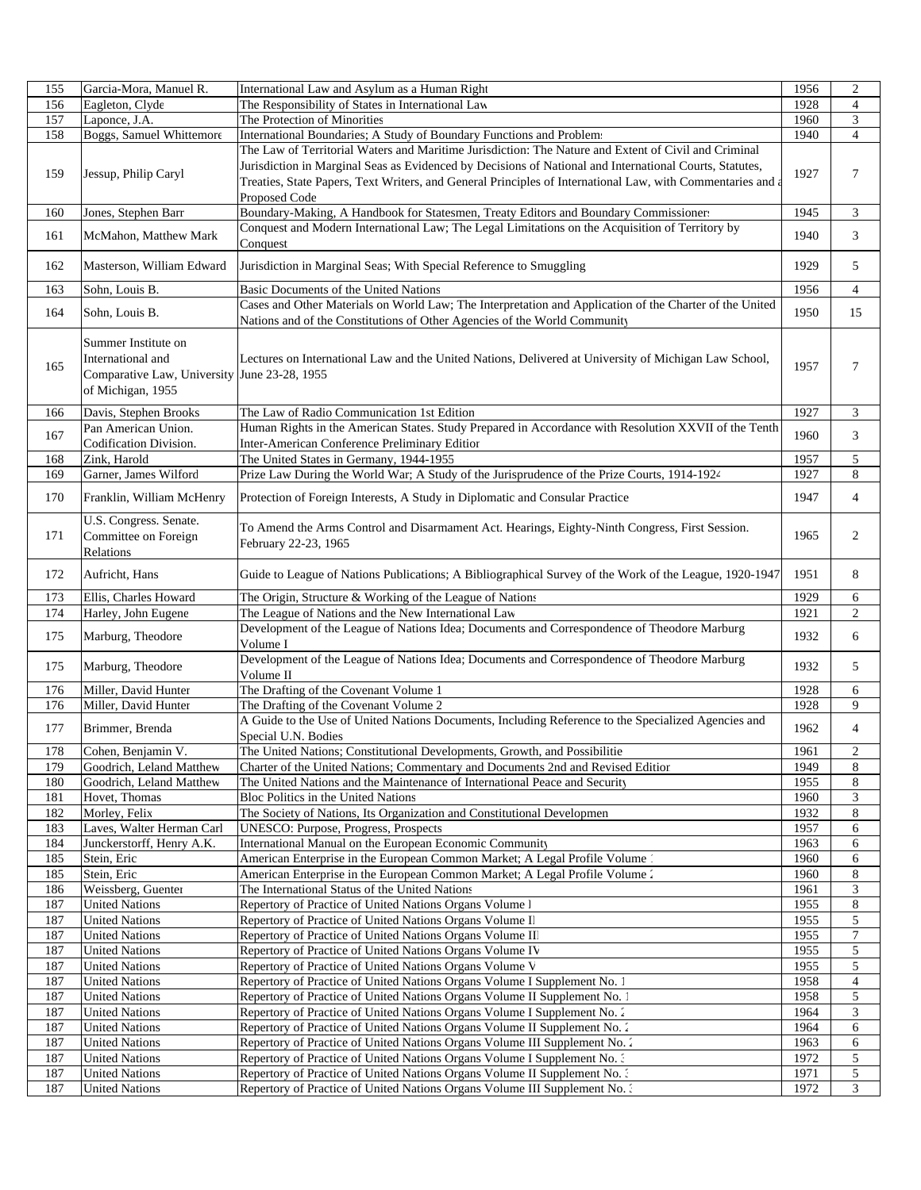| 155        | Garcia-Mora, Manuel R.                         | International Law and Asylum as a Human Right                                                                                                                                          | 1956         | $\overline{2}$ |
|------------|------------------------------------------------|----------------------------------------------------------------------------------------------------------------------------------------------------------------------------------------|--------------|----------------|
| 156        | Eagleton, Clyde                                | The Responsibility of States in International Law                                                                                                                                      | 1928         | $\overline{4}$ |
| 157        | Laponce, J.A.                                  | The Protection of Minorities                                                                                                                                                           | 1960         | 3              |
| 158        | Boggs, Samuel Whittemore                       | International Boundaries; A Study of Boundary Functions and Problem:                                                                                                                   | 1940         | $\overline{4}$ |
|            |                                                | The Law of Territorial Waters and Maritime Jurisdiction: The Nature and Extent of Civil and Criminal                                                                                   |              |                |
|            |                                                | Jurisdiction in Marginal Seas as Evidenced by Decisions of National and International Courts, Statutes,                                                                                |              |                |
| 159        | Jessup, Philip Caryl                           | Treaties, State Papers, Text Writers, and General Principles of International Law, with Commentaries and a                                                                             | 1927         | $\tau$         |
|            |                                                | Proposed Code                                                                                                                                                                          |              |                |
|            |                                                |                                                                                                                                                                                        |              |                |
| 160        | Jones, Stephen Barr                            | Boundary-Making, A Handbook for Statesmen, Treaty Editors and Boundary Commissioner<br>Conquest and Modern International Law; The Legal Limitations on the Acquisition of Territory by | 1945         | 3              |
| 161        | McMahon, Matthew Mark                          |                                                                                                                                                                                        | 1940         | 3              |
|            |                                                | Conquest                                                                                                                                                                               |              |                |
| 162        | Masterson, William Edward                      | Jurisdiction in Marginal Seas; With Special Reference to Smuggling                                                                                                                     | 1929         | 5              |
| 163        |                                                | <b>Basic Documents of the United Nations</b>                                                                                                                                           |              |                |
|            | Sohn, Louis B.                                 | Cases and Other Materials on World Law; The Interpretation and Application of the Charter of the United                                                                                | 1956         | $\overline{4}$ |
| 164        | Sohn, Louis B.                                 |                                                                                                                                                                                        | 1950         | 15             |
|            |                                                | Nations and of the Constitutions of Other Agencies of the World Community                                                                                                              |              |                |
|            | Summer Institute on                            |                                                                                                                                                                                        |              |                |
|            | International and                              | Lectures on International Law and the United Nations, Delivered at University of Michigan Law School,                                                                                  |              |                |
| 165        | Comparative Law, University June 23-28, 1955   |                                                                                                                                                                                        | 1957         | $\tau$         |
|            | of Michigan, 1955                              |                                                                                                                                                                                        |              |                |
|            |                                                |                                                                                                                                                                                        |              |                |
| 166        | Davis, Stephen Brooks                          | The Law of Radio Communication 1st Edition                                                                                                                                             | 1927         | 3              |
| 167        | Pan American Union.                            | Human Rights in the American States. Study Prepared in Accordance with Resolution XXVII of the Tenth                                                                                   | 1960         | 3              |
|            | Codification Division.                         | Inter-American Conference Preliminary Editior                                                                                                                                          |              |                |
| 168        | Zink, Harold                                   | The United States in Germany, 1944-1955                                                                                                                                                | 1957         | 5              |
| 169        | Garner, James Wilford                          | Prize Law During the World War; A Study of the Jurisprudence of the Prize Courts, 1914-1924                                                                                            | 1927         | 8              |
| 170        | Franklin, William McHenry                      | Protection of Foreign Interests, A Study in Diplomatic and Consular Practice                                                                                                           | 1947         | $\overline{4}$ |
|            |                                                |                                                                                                                                                                                        |              |                |
|            | U.S. Congress. Senate.                         |                                                                                                                                                                                        |              |                |
| 171        | Committee on Foreign                           | To Amend the Arms Control and Disarmament Act. Hearings, Eighty-Ninth Congress, First Session.                                                                                         | 1965         | 2              |
|            | Relations                                      | February 22-23, 1965                                                                                                                                                                   |              |                |
|            |                                                |                                                                                                                                                                                        |              |                |
| 172        | Aufricht, Hans                                 | Guide to League of Nations Publications; A Bibliographical Survey of the Work of the League, 1920-1947                                                                                 | 1951         | 8              |
| 173        | Ellis, Charles Howard                          | The Origin, Structure & Working of the League of Nations                                                                                                                               | 1929         |                |
|            |                                                |                                                                                                                                                                                        |              | 6              |
|            |                                                |                                                                                                                                                                                        | 1921         | $\overline{c}$ |
| 174        | Harley, John Eugene                            | The League of Nations and the New International Law                                                                                                                                    |              |                |
| 175        | Marburg, Theodore                              | Development of the League of Nations Idea; Documents and Correspondence of Theodore Marburg<br>Volume I                                                                                | 1932         | 6              |
|            |                                                |                                                                                                                                                                                        |              |                |
| 175        | Marburg, Theodore                              | Development of the League of Nations Idea; Documents and Correspondence of Theodore Marburg<br>Volume II                                                                               | 1932         | 5              |
| 176        |                                                |                                                                                                                                                                                        | 1928         | 6              |
|            | Miller, David Hunter                           | The Drafting of the Covenant Volume 1                                                                                                                                                  |              | 9              |
| 176        | Miller, David Hunter                           | The Drafting of the Covenant Volume 2                                                                                                                                                  | 1928         |                |
| 177        | Brimmer, Brenda                                | A Guide to the Use of United Nations Documents, Including Reference to the Specialized Agencies and                                                                                    | 1962         | $\overline{4}$ |
|            |                                                | Special U.N. Bodies                                                                                                                                                                    |              |                |
| 178        | Cohen, Benjamin V.                             | The United Nations; Constitutional Developments, Growth, and Possibilitie                                                                                                              | 1961         | $\sqrt{2}$     |
| 179        | Goodrich, Leland Matthew                       | Charter of the United Nations; Commentary and Documents 2nd and Revised Edition                                                                                                        | 1949         | 8              |
| 180        | Goodrich, Leland Matthew                       | The United Nations and the Maintenance of International Peace and Security                                                                                                             | 1955         | 8              |
| 181        | Hovet, Thomas                                  | Bloc Politics in the United Nations                                                                                                                                                    | 1960         | 3              |
| 182        | Morley, Felix                                  | The Society of Nations, Its Organization and Constitutional Developmen<br>UNESCO: Purpose, Progress, Prospects                                                                         | 1932         | 8<br>6         |
| 183        | Laves, Walter Herman Carl                      |                                                                                                                                                                                        | 1957         |                |
| 184        | Junckerstorff, Henry A.K.                      | International Manual on the European Economic Community                                                                                                                                | 1963         | 6              |
| 185        | Stein, Eric                                    | American Enterprise in the European Common Market; A Legal Profile Volume                                                                                                              | 1960         | 6              |
| 185        | Stein, Eric                                    | American Enterprise in the European Common Market; A Legal Profile Volume 2                                                                                                            | 1960         | 8              |
| 186        | Weissberg, Guenter                             | The International Status of the United Nations                                                                                                                                         | 1961         | 3              |
| 187        | <b>United Nations</b>                          | Repertory of Practice of United Nations Organs Volume 1                                                                                                                                | 1955         | $\,8\,$        |
| 187        | <b>United Nations</b>                          | Repertory of Practice of United Nations Organs Volume II                                                                                                                               | 1955         | 5              |
| 187        | <b>United Nations</b>                          | Repertory of Practice of United Nations Organs Volume II                                                                                                                               | 1955         | 7              |
| 187        | <b>United Nations</b>                          | Repertory of Practice of United Nations Organs Volume IV                                                                                                                               | 1955         | 5              |
| 187        | <b>United Nations</b>                          | Repertory of Practice of United Nations Organs Volume V                                                                                                                                | 1955         | 5              |
| 187        | <b>United Nations</b>                          | Repertory of Practice of United Nations Organs Volume I Supplement No. 1                                                                                                               | 1958         | 4              |
| 187        | <b>United Nations</b>                          | Repertory of Practice of United Nations Organs Volume II Supplement No. 1                                                                                                              | 1958         | 5              |
| 187        | <b>United Nations</b>                          | Repertory of Practice of United Nations Organs Volume I Supplement No. 2                                                                                                               | 1964         | 3              |
| 187        | <b>United Nations</b>                          | Repertory of Practice of United Nations Organs Volume II Supplement No. 2                                                                                                              | 1964         | 6              |
| 187        | <b>United Nations</b>                          | Repertory of Practice of United Nations Organs Volume III Supplement No. 2                                                                                                             | 1963         | 6              |
| 187        | <b>United Nations</b>                          | Repertory of Practice of United Nations Organs Volume I Supplement No. 3                                                                                                               | 1972         | $\sqrt{5}$     |
| 187<br>187 | <b>United Nations</b><br><b>United Nations</b> | Repertory of Practice of United Nations Organs Volume II Supplement No. 3<br>Repertory of Practice of United Nations Organs Volume III Supplement No. 3                                | 1971<br>1972 | 5<br>3         |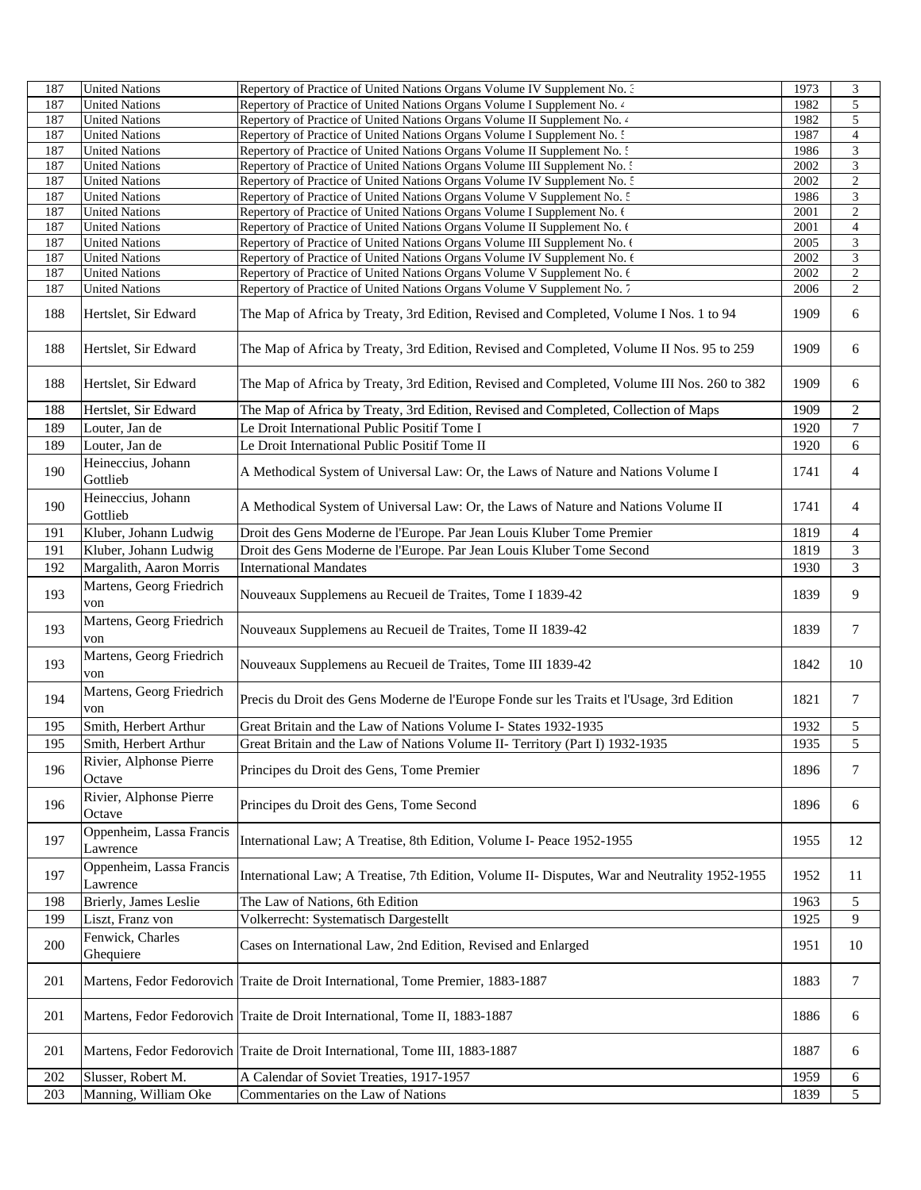| 187 | <b>United Nations</b>                | Repertory of Practice of United Nations Organs Volume IV Supplement No. 3                     | 1973 | $\mathfrak{Z}$          |
|-----|--------------------------------------|-----------------------------------------------------------------------------------------------|------|-------------------------|
| 187 | <b>United Nations</b>                | Repertory of Practice of United Nations Organs Volume I Supplement No. 4                      | 1982 | $\overline{5}$          |
| 187 | <b>United Nations</b>                | Repertory of Practice of United Nations Organs Volume II Supplement No. 4                     | 1982 | 5                       |
| 187 | <b>United Nations</b>                | Repertory of Practice of United Nations Organs Volume I Supplement No. 5                      | 1987 | $\overline{4}$          |
| 187 | <b>United Nations</b>                | Repertory of Practice of United Nations Organs Volume II Supplement No. 5                     | 1986 | 3                       |
| 187 | <b>United Nations</b>                | Repertory of Practice of United Nations Organs Volume III Supplement No. :                    | 2002 | $\mathfrak 3$           |
| 187 | <b>United Nations</b>                | Repertory of Practice of United Nations Organs Volume IV Supplement No. 5                     | 2002 | $\overline{2}$          |
| 187 | <b>United Nations</b>                | Repertory of Practice of United Nations Organs Volume V Supplement No. 5                      | 1986 | 3                       |
| 187 | <b>United Nations</b>                | Repertory of Practice of United Nations Organs Volume I Supplement No. 6                      | 2001 | $\sqrt{2}$              |
| 187 | <b>United Nations</b>                | Repertory of Practice of United Nations Organs Volume II Supplement No. 6                     | 2001 | $\overline{4}$          |
| 187 | <b>United Nations</b>                | Repertory of Practice of United Nations Organs Volume III Supplement No. 6                    | 2005 | $\mathfrak 3$           |
| 187 | <b>United Nations</b>                | Repertory of Practice of United Nations Organs Volume IV Supplement No. 6                     | 2002 | $\overline{\mathbf{3}}$ |
| 187 | <b>United Nations</b>                | Repertory of Practice of United Nations Organs Volume V Supplement No. 6                      | 2002 | $\sqrt{2}$              |
| 187 | <b>United Nations</b>                | Repertory of Practice of United Nations Organs Volume V Supplement No. 7                      | 2006 | $\boldsymbol{2}$        |
| 188 | Hertslet, Sir Edward                 | The Map of Africa by Treaty, 3rd Edition, Revised and Completed, Volume I Nos. 1 to 94        | 1909 | 6                       |
| 188 | Hertslet, Sir Edward                 | The Map of Africa by Treaty, 3rd Edition, Revised and Completed, Volume II Nos. 95 to 259     | 1909 | 6                       |
| 188 | Hertslet, Sir Edward                 | The Map of Africa by Treaty, 3rd Edition, Revised and Completed, Volume III Nos. 260 to 382   | 1909 | 6                       |
| 188 | Hertslet, Sir Edward                 | The Map of Africa by Treaty, 3rd Edition, Revised and Completed, Collection of Maps           | 1909 | $\sqrt{2}$              |
| 189 | Louter, Jan de                       | Le Droit International Public Positif Tome I                                                  | 1920 | $\boldsymbol{7}$        |
| 189 | Louter, Jan de                       | Le Droit International Public Positif Tome II                                                 | 1920 | 6                       |
|     | Heineccius, Johann                   |                                                                                               |      |                         |
| 190 | Gottlieb                             | A Methodical System of Universal Law: Or, the Laws of Nature and Nations Volume I             | 1741 | 4                       |
| 190 | Heineccius, Johann<br>Gottlieb       | A Methodical System of Universal Law: Or, the Laws of Nature and Nations Volume II            | 1741 | 4                       |
| 191 | Kluber, Johann Ludwig                | Droit des Gens Moderne de l'Europe. Par Jean Louis Kluber Tome Premier                        | 1819 | $\overline{4}$          |
| 191 | Kluber, Johann Ludwig                | Droit des Gens Moderne de l'Europe. Par Jean Louis Kluber Tome Second                         | 1819 | 3                       |
| 192 | Margalith, Aaron Morris              | <b>International Mandates</b>                                                                 | 1930 | 3                       |
| 193 | Martens, Georg Friedrich             | Nouveaux Supplemens au Recueil de Traites, Tome I 1839-42                                     | 1839 | 9                       |
|     | von<br>Martens, Georg Friedrich      |                                                                                               |      |                         |
| 193 | von<br>Martens, Georg Friedrich      | Nouveaux Supplemens au Recueil de Traites, Tome II 1839-42                                    | 1839 | 7                       |
| 193 | von                                  | Nouveaux Supplemens au Recueil de Traites, Tome III 1839-42                                   | 1842 | 10                      |
| 194 | Martens, Georg Friedrich<br>von      | Precis du Droit des Gens Moderne de l'Europe Fonde sur les Traits et l'Usage, 3rd Edition     | 1821 | $\overline{7}$          |
| 195 | Smith, Herbert Arthur                | Great Britain and the Law of Nations Volume I- States 1932-1935                               | 1932 | 5                       |
| 195 | Smith, Herbert Arthur                | Great Britain and the Law of Nations Volume II- Territory (Part I) 1932-1935                  | 1935 | 5                       |
| 196 | Rivier, Alphonse Pierre<br>Octave    | Principes du Droit des Gens, Tome Premier                                                     | 1896 | 7                       |
| 196 | Rivier, Alphonse Pierre<br>Octave    | Principes du Droit des Gens, Tome Second                                                      | 1896 | 6                       |
| 197 | Oppenheim, Lassa Francis<br>Lawrence | International Law; A Treatise, 8th Edition, Volume I- Peace 1952-1955                         | 1955 | 12                      |
| 197 | Oppenheim, Lassa Francis<br>Lawrence | International Law; A Treatise, 7th Edition, Volume II- Disputes, War and Neutrality 1952-1955 | 1952 | 11                      |
| 198 | Brierly, James Leslie                | The Law of Nations, 6th Edition                                                               | 1963 | 5                       |
| 199 | Liszt, Franz von                     | Volkerrecht: Systematisch Dargestellt                                                         | 1925 | 9                       |
|     | Fenwick, Charles                     |                                                                                               |      |                         |
| 200 | Ghequiere                            | Cases on International Law, 2nd Edition, Revised and Enlarged                                 | 1951 | 10                      |
| 201 |                                      | Martens, Fedor Fedorovich Traite de Droit International, Tome Premier, 1883-1887              | 1883 | $\tau$                  |
| 201 |                                      | Martens, Fedor Fedorovich Traite de Droit International, Tome II, 1883-1887                   | 1886 | 6                       |
| 201 |                                      | Martens, Fedor Fedorovich Traite de Droit International, Tome III, 1883-1887                  | 1887 | 6                       |
| 202 | Slusser, Robert M.                   | A Calendar of Soviet Treaties, 1917-1957                                                      | 1959 | 6                       |
| 203 | Manning, William Oke                 | Commentaries on the Law of Nations                                                            | 1839 | 5                       |
|     |                                      |                                                                                               |      |                         |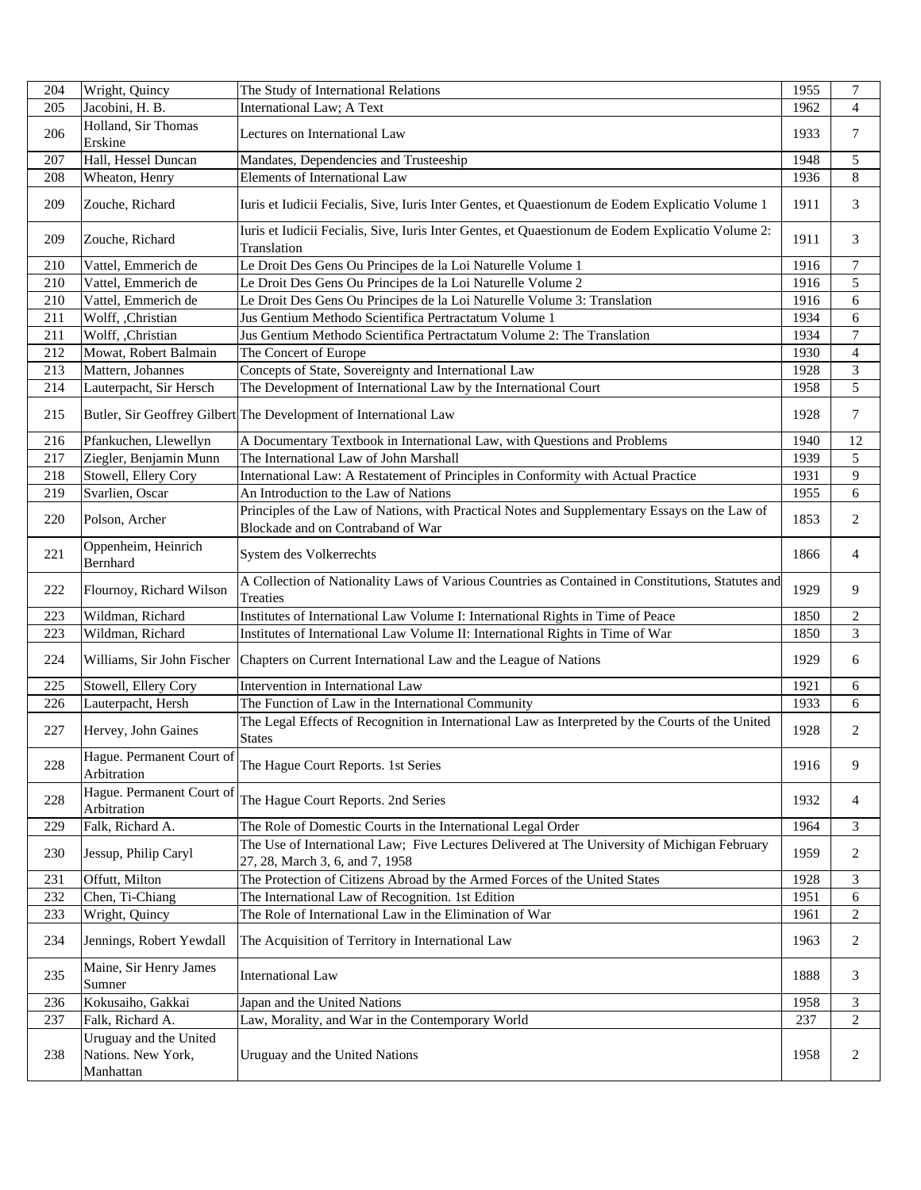| 204 | Wright, Quincy                                            | The Study of International Relations                                                                                               | 1955 | $\tau$           |
|-----|-----------------------------------------------------------|------------------------------------------------------------------------------------------------------------------------------------|------|------------------|
| 205 | Jacobini, H. B.                                           | <b>International Law; A Text</b>                                                                                                   | 1962 | $\overline{4}$   |
| 206 | Holland, Sir Thomas<br>Erskine                            | Lectures on International Law                                                                                                      | 1933 | 7                |
| 207 | Hall, Hessel Duncan                                       | Mandates, Dependencies and Trusteeship                                                                                             | 1948 | 5                |
| 208 | Wheaton, Henry                                            | <b>Elements of International Law</b>                                                                                               | 1936 | 8                |
| 209 | Zouche, Richard                                           | Iuris et Iudicii Fecialis, Sive, Iuris Inter Gentes, et Quaestionum de Eodem Explicatio Volume 1                                   | 1911 | 3                |
| 209 | Zouche, Richard                                           | Iuris et Iudicii Fecialis, Sive, Iuris Inter Gentes, et Quaestionum de Eodem Explicatio Volume 2:<br>Translation                   | 1911 | 3                |
| 210 | Vattel, Emmerich de                                       | Le Droit Des Gens Ou Principes de la Loi Naturelle Volume 1                                                                        | 1916 | $\boldsymbol{7}$ |
| 210 | Vattel, Emmerich de                                       | Le Droit Des Gens Ou Principes de la Loi Naturelle Volume 2                                                                        | 1916 | $\mathfrak s$    |
| 210 | Vattel, Emmerich de                                       | Le Droit Des Gens Ou Principes de la Loi Naturelle Volume 3: Translation                                                           | 1916 | 6                |
| 211 | Wolff, ,Christian                                         | Jus Gentium Methodo Scientifica Pertractatum Volume 1                                                                              | 1934 | 6                |
| 211 | Wolff, ,Christian                                         | Jus Gentium Methodo Scientifica Pertractatum Volume 2: The Translation                                                             | 1934 | $\boldsymbol{7}$ |
| 212 | Mowat, Robert Balmain                                     | The Concert of Europe                                                                                                              | 1930 | 4                |
| 213 | Mattern, Johannes                                         | Concepts of State, Sovereignty and International Law                                                                               | 1928 | 3                |
| 214 | Lauterpacht, Sir Hersch                                   | The Development of International Law by the International Court                                                                    | 1958 | 5                |
| 215 |                                                           | Butler, Sir Geoffrey Gilbert The Development of International Law                                                                  | 1928 | $\tau$           |
| 216 | Pfankuchen, Llewellyn                                     | A Documentary Textbook in International Law, with Questions and Problems                                                           | 1940 | 12               |
| 217 | Ziegler, Benjamin Munn                                    | The International Law of John Marshall                                                                                             | 1939 | 5                |
| 218 | Stowell, Ellery Cory                                      | International Law: A Restatement of Principles in Conformity with Actual Practice                                                  | 1931 | 9                |
| 219 | Svarlien, Oscar                                           | An Introduction to the Law of Nations                                                                                              | 1955 | 6                |
| 220 | Polson, Archer                                            | Principles of the Law of Nations, with Practical Notes and Supplementary Essays on the Law of<br>Blockade and on Contraband of War | 1853 | 2                |
| 221 | Oppenheim, Heinrich<br>Bernhard                           | System des Volkerrechts                                                                                                            | 1866 | 4                |
| 222 | Flournoy, Richard Wilson                                  | A Collection of Nationality Laws of Various Countries as Contained in Constitutions, Statutes and<br>Treaties                      | 1929 | 9                |
| 223 | Wildman, Richard                                          | Institutes of International Law Volume I: International Rights in Time of Peace                                                    | 1850 | $\overline{c}$   |
| 223 | Wildman, Richard                                          | Institutes of International Law Volume II: International Rights in Time of War                                                     | 1850 | 3                |
| 224 | Williams, Sir John Fischer                                | Chapters on Current International Law and the League of Nations                                                                    | 1929 | 6                |
| 225 | Stowell, Ellery Cory                                      | Intervention in International Law                                                                                                  | 1921 | 6                |
| 226 | Lauterpacht, Hersh                                        | The Function of Law in the International Community                                                                                 | 1933 | 6                |
| 227 | Hervey, John Gaines                                       | The Legal Effects of Recognition in International Law as Interpreted by the Courts of the United<br><b>States</b>                  | 1928 | $\overline{c}$   |
| 228 | Hague. Permanent Court of<br>Arbitration                  | The Hague Court Reports. 1st Series                                                                                                | 1916 | 9                |
| 228 | Hague. Permanent Court of<br>Arbitration                  | The Hague Court Reports. 2nd Series                                                                                                | 1932 | $\overline{4}$   |
| 229 | Falk, Richard A.                                          | The Role of Domestic Courts in the International Legal Order                                                                       | 1964 | 3                |
| 230 | Jessup, Philip Caryl                                      | The Use of International Law; Five Lectures Delivered at The University of Michigan February<br>27, 28, March 3, 6, and 7, 1958    | 1959 | 2                |
| 231 | Offutt, Milton                                            | The Protection of Citizens Abroad by the Armed Forces of the United States                                                         | 1928 | 3                |
| 232 | Chen, Ti-Chiang                                           | The International Law of Recognition. 1st Edition                                                                                  | 1951 | 6                |
| 233 | Wright, Quincy                                            | The Role of International Law in the Elimination of War                                                                            | 1961 | 2                |
| 234 | Jennings, Robert Yewdall                                  | The Acquisition of Territory in International Law                                                                                  | 1963 | 2                |
| 235 | Maine, Sir Henry James<br>Sumner                          | <b>International Law</b>                                                                                                           | 1888 | 3                |
| 236 | Kokusaiho, Gakkai                                         | Japan and the United Nations                                                                                                       | 1958 | 3                |
| 237 | Falk, Richard A.                                          | Law, Morality, and War in the Contemporary World                                                                                   | 237  | 2                |
| 238 | Uruguay and the United<br>Nations. New York,<br>Manhattan | Uruguay and the United Nations                                                                                                     | 1958 | 2                |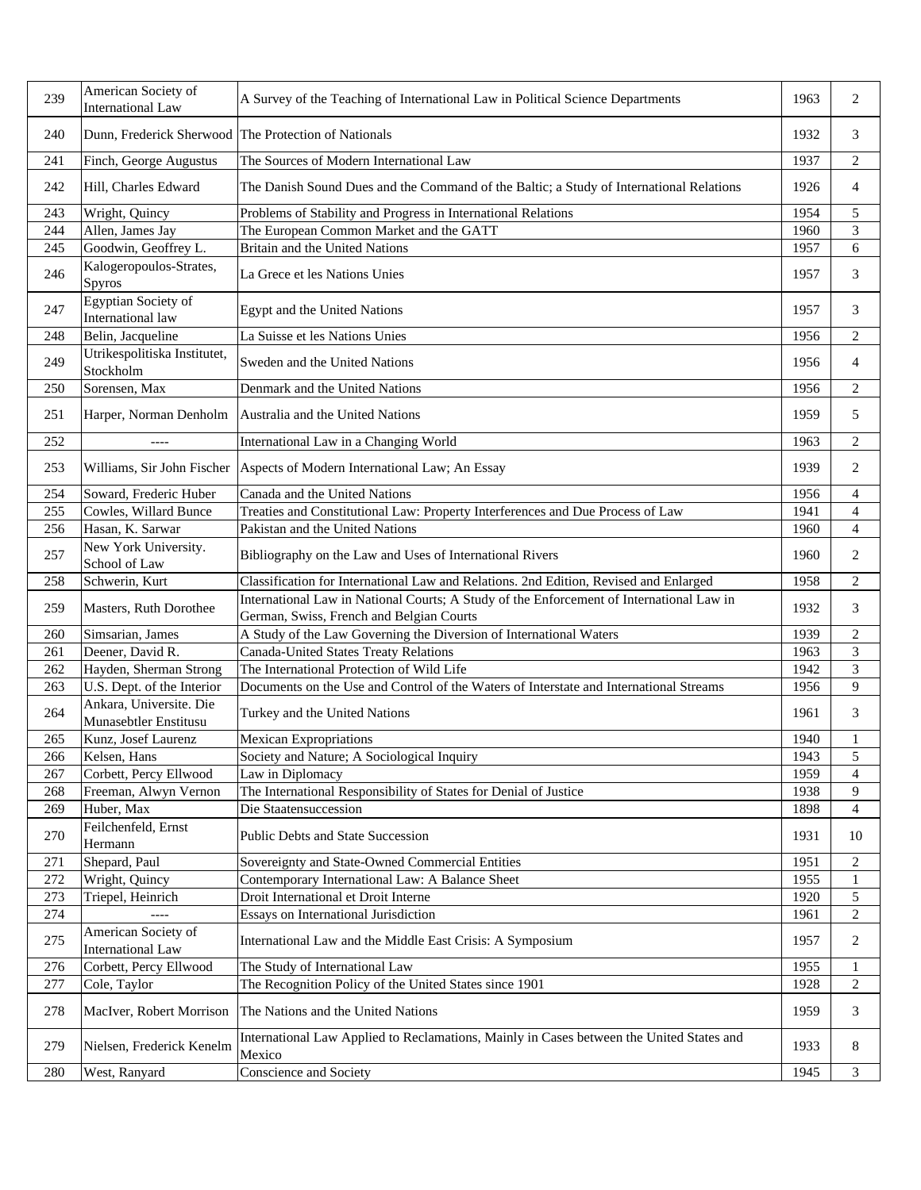| 239 | American Society of<br><b>International Law</b>  | A Survey of the Teaching of International Law in Political Science Departments                                                       | 1963 | 2              |
|-----|--------------------------------------------------|--------------------------------------------------------------------------------------------------------------------------------------|------|----------------|
| 240 |                                                  | Dunn, Frederick Sherwood The Protection of Nationals                                                                                 | 1932 | 3              |
| 241 | Finch, George Augustus                           | The Sources of Modern International Law                                                                                              | 1937 | 2              |
| 242 | Hill, Charles Edward                             | The Danish Sound Dues and the Command of the Baltic; a Study of International Relations                                              | 1926 | $\overline{4}$ |
| 243 | Wright, Quincy                                   | Problems of Stability and Progress in International Relations                                                                        | 1954 | 5              |
| 244 | Allen, James Jay                                 | The European Common Market and the GATT                                                                                              | 1960 | 3              |
| 245 | Goodwin, Geoffrey L.                             | Britain and the United Nations                                                                                                       | 1957 | 6              |
| 246 | Kalogeropoulos-Strates,<br>Spyros                | La Grece et les Nations Unies                                                                                                        | 1957 | 3              |
| 247 | Egyptian Society of<br>International law         | Egypt and the United Nations                                                                                                         | 1957 | 3              |
| 248 | Belin, Jacqueline                                | La Suisse et les Nations Unies                                                                                                       | 1956 | $\mathfrak{2}$ |
| 249 | Utrikespolitiska Institutet,<br>Stockholm        | Sweden and the United Nations                                                                                                        | 1956 | 4              |
| 250 | Sorensen, Max                                    | Denmark and the United Nations                                                                                                       | 1956 | 2              |
|     |                                                  |                                                                                                                                      |      |                |
| 251 | Harper, Norman Denholm                           | Australia and the United Nations                                                                                                     | 1959 | 5              |
| 252 | $---$                                            | International Law in a Changing World                                                                                                | 1963 | $\overline{c}$ |
| 253 |                                                  | Williams, Sir John Fischer Aspects of Modern International Law; An Essay                                                             | 1939 | 2              |
| 254 | Soward, Frederic Huber                           | Canada and the United Nations                                                                                                        | 1956 | $\overline{4}$ |
| 255 | Cowles, Willard Bunce                            | Treaties and Constitutional Law: Property Interferences and Due Process of Law                                                       | 1941 | 4              |
| 256 | Hasan, K. Sarwar                                 | Pakistan and the United Nations                                                                                                      | 1960 | $\overline{4}$ |
| 257 | New York University.<br>School of Law            | Bibliography on the Law and Uses of International Rivers                                                                             | 1960 | 2              |
| 258 | Schwerin, Kurt                                   | Classification for International Law and Relations. 2nd Edition, Revised and Enlarged                                                | 1958 | $\overline{c}$ |
| 259 | Masters, Ruth Dorothee                           | International Law in National Courts; A Study of the Enforcement of International Law in<br>German, Swiss, French and Belgian Courts | 1932 | 3              |
| 260 | Simsarian, James                                 | A Study of the Law Governing the Diversion of International Waters                                                                   | 1939 | $\mathfrak{2}$ |
| 261 | Deener, David R.                                 | <b>Canada-United States Treaty Relations</b>                                                                                         | 1963 | 3              |
| 262 | Hayden, Sherman Strong                           | The International Protection of Wild Life                                                                                            | 1942 | 3              |
| 263 | U.S. Dept. of the Interior                       | Documents on the Use and Control of the Waters of Interstate and International Streams                                               | 1956 | 9              |
| 264 | Ankara, Universite. Die<br>Munasebtler Enstitusu | Turkey and the United Nations                                                                                                        | 1961 | 3              |
| 265 | Kunz, Josef Laurenz                              | <b>Mexican Expropriations</b>                                                                                                        | 1940 | 1              |
| 266 | Kelsen, Hans                                     | Society and Nature; A Sociological Inquiry                                                                                           | 1943 | $\sqrt{5}$     |
| 267 | Corbett, Percy Ellwood                           | Law in Diplomacy                                                                                                                     | 1959 | $\overline{4}$ |
| 268 | Freeman, Alwyn Vernon                            | The International Responsibility of States for Denial of Justice                                                                     | 1938 | 9              |
| 269 | Huber, Max                                       | Die Staatensuccession                                                                                                                | 1898 | 4              |
| 270 | Feilchenfeld, Ernst<br>Hermann                   | Public Debts and State Succession                                                                                                    | 1931 | 10             |
| 271 | Shepard, Paul                                    | Sovereignty and State-Owned Commercial Entities                                                                                      | 1951 | $\overline{c}$ |
| 272 | Wright, Quincy                                   | Contemporary International Law: A Balance Sheet                                                                                      | 1955 | $\mathbf{1}$   |
| 273 | Triepel, Heinrich                                | Droit International et Droit Interne                                                                                                 | 1920 | 5              |
| 274 |                                                  | Essays on International Jurisdiction                                                                                                 | 1961 | $\mathbf{2}$   |
| 275 | American Society of<br>International Law         | International Law and the Middle East Crisis: A Symposium                                                                            | 1957 | 2              |
| 276 | Corbett, Percy Ellwood                           | The Study of International Law                                                                                                       | 1955 | 1              |
| 277 | Cole, Taylor                                     | The Recognition Policy of the United States since 1901                                                                               | 1928 | 2              |
| 278 | MacIver, Robert Morrison                         | The Nations and the United Nations                                                                                                   | 1959 | 3              |
| 279 | Nielsen, Frederick Kenelm                        | International Law Applied to Reclamations, Mainly in Cases between the United States and<br>Mexico                                   | 1933 | 8              |
| 280 | West, Ranyard                                    | Conscience and Society                                                                                                               | 1945 | 3              |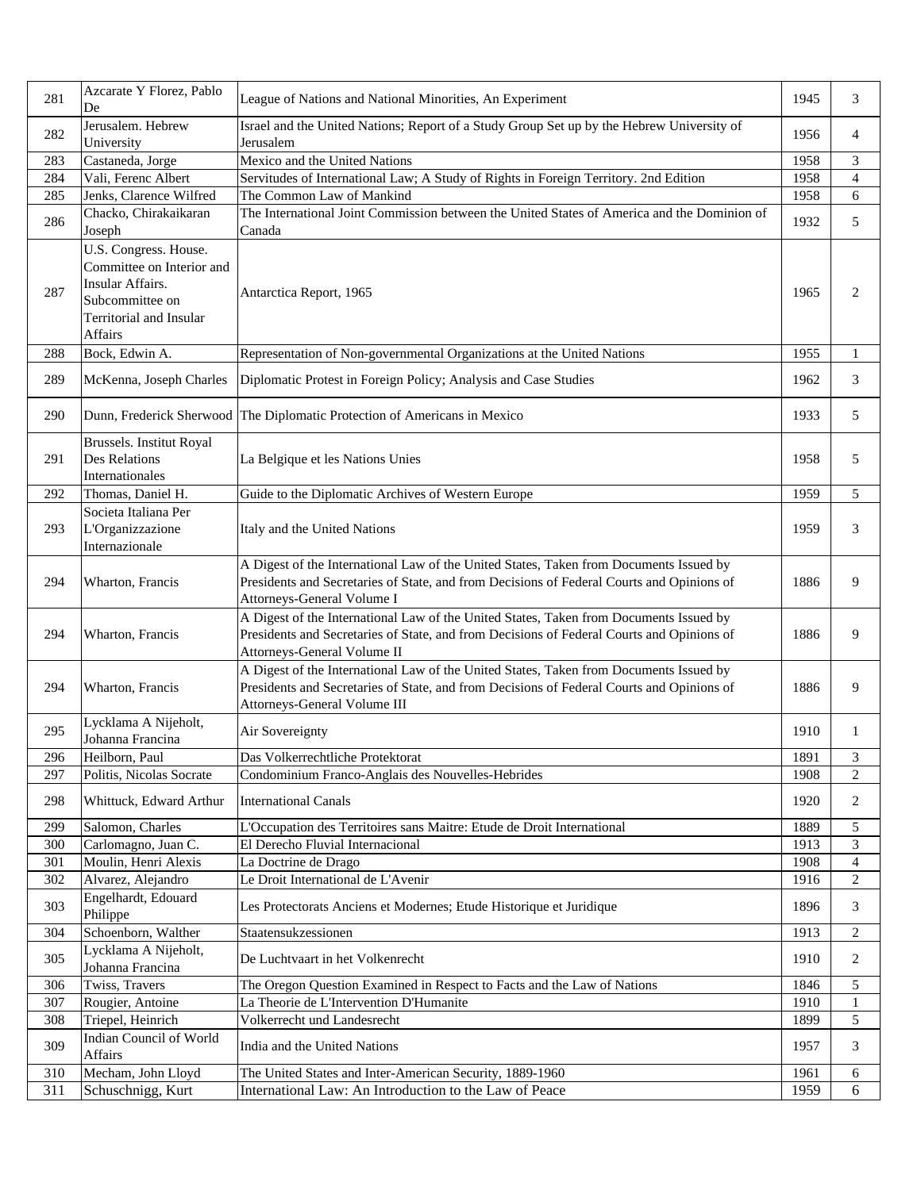| 281 | Azcarate Y Florez, Pablo<br>De                                                                                                  | League of Nations and National Minorities, An Experiment                                                                                                                                                            | 1945 | 3                        |
|-----|---------------------------------------------------------------------------------------------------------------------------------|---------------------------------------------------------------------------------------------------------------------------------------------------------------------------------------------------------------------|------|--------------------------|
| 282 | Jerusalem. Hebrew<br>University                                                                                                 | Israel and the United Nations; Report of a Study Group Set up by the Hebrew University of<br>Jerusalem                                                                                                              | 1956 | 4                        |
| 283 | Castaneda, Jorge                                                                                                                | Mexico and the United Nations                                                                                                                                                                                       | 1958 | 3                        |
| 284 | Vali, Ferenc Albert                                                                                                             | Servitudes of International Law; A Study of Rights in Foreign Territory. 2nd Edition                                                                                                                                | 1958 | $\overline{4}$           |
| 285 | Jenks, Clarence Wilfred                                                                                                         | The Common Law of Mankind                                                                                                                                                                                           | 1958 | 6                        |
| 286 | Chacko, Chirakaikaran<br>Joseph                                                                                                 | The International Joint Commission between the United States of America and the Dominion of<br>Canada                                                                                                               | 1932 | 5                        |
| 287 | U.S. Congress. House.<br>Committee on Interior and<br>Insular Affairs.<br>Subcommittee on<br>Territorial and Insular<br>Affairs | Antarctica Report, 1965                                                                                                                                                                                             | 1965 | $\overline{2}$           |
| 288 | Bock, Edwin A.                                                                                                                  | Representation of Non-governmental Organizations at the United Nations                                                                                                                                              | 1955 | 1                        |
| 289 | McKenna, Joseph Charles                                                                                                         | Diplomatic Protest in Foreign Policy; Analysis and Case Studies                                                                                                                                                     | 1962 | 3                        |
| 290 |                                                                                                                                 | Dunn, Frederick Sherwood The Diplomatic Protection of Americans in Mexico                                                                                                                                           | 1933 | 5                        |
| 291 | Brussels. Institut Royal<br>Des Relations<br>Internationales                                                                    | La Belgique et les Nations Unies                                                                                                                                                                                    | 1958 | 5                        |
| 292 | Thomas, Daniel H.                                                                                                               | Guide to the Diplomatic Archives of Western Europe                                                                                                                                                                  | 1959 | 5                        |
| 293 | Societa Italiana Per<br>L'Organizzazione<br>Internazionale                                                                      | Italy and the United Nations                                                                                                                                                                                        | 1959 | 3                        |
| 294 | Wharton, Francis                                                                                                                | A Digest of the International Law of the United States, Taken from Documents Issued by<br>Presidents and Secretaries of State, and from Decisions of Federal Courts and Opinions of<br>Attorneys-General Volume I   | 1886 | 9                        |
| 294 | Wharton, Francis                                                                                                                | A Digest of the International Law of the United States, Taken from Documents Issued by<br>Presidents and Secretaries of State, and from Decisions of Federal Courts and Opinions of<br>Attorneys-General Volume II  | 1886 | 9                        |
| 294 | Wharton, Francis                                                                                                                | A Digest of the International Law of the United States, Taken from Documents Issued by<br>Presidents and Secretaries of State, and from Decisions of Federal Courts and Opinions of<br>Attorneys-General Volume III | 1886 | 9                        |
| 295 | Lycklama A Nijeholt,<br>Johanna Francina                                                                                        | Air Sovereignty                                                                                                                                                                                                     | 1910 | 1                        |
| 296 | Heilborn, Paul                                                                                                                  | Das Volkerrechtliche Protektorat                                                                                                                                                                                    | 1891 | 3                        |
| 297 | Politis, Nicolas Socrate                                                                                                        | Condominium Franco-Anglais des Nouvelles-Hebrides                                                                                                                                                                   | 1908 | $\mathfrak{2}$           |
| 298 | Whittuck, Edward Arthur                                                                                                         | <b>International Canals</b>                                                                                                                                                                                         | 1920 | 2                        |
| 299 | Salomon, Charles                                                                                                                | L'Occupation des Territoires sans Maitre: Etude de Droit International                                                                                                                                              | 1889 | 5                        |
| 300 | Carlomagno, Juan C.                                                                                                             | El Derecho Fluvial Internacional                                                                                                                                                                                    | 1913 | 3                        |
| 301 | Moulin, Henri Alexis                                                                                                            | La Doctrine de Drago                                                                                                                                                                                                | 1908 | $\overline{\mathcal{A}}$ |
| 302 | Alvarez, Alejandro                                                                                                              | Le Droit International de L'Avenir                                                                                                                                                                                  | 1916 | $\overline{c}$           |
| 303 | Engelhardt, Edouard<br>Philippe                                                                                                 | Les Protectorats Anciens et Modernes; Etude Historique et Juridique                                                                                                                                                 | 1896 | 3                        |
| 304 | Schoenborn, Walther                                                                                                             | Staatensukzessionen                                                                                                                                                                                                 | 1913 | $\overline{c}$           |
| 305 | Lycklama A Nijeholt,<br>Johanna Francina                                                                                        | De Luchtvaart in het Volkenrecht                                                                                                                                                                                    | 1910 | 2                        |
| 306 | Twiss, Travers                                                                                                                  | The Oregon Question Examined in Respect to Facts and the Law of Nations                                                                                                                                             | 1846 | 5                        |
| 307 | Rougier, Antoine                                                                                                                | La Theorie de L'Intervention D'Humanite                                                                                                                                                                             | 1910 | $\mathbf{1}$             |
| 308 | Triepel, Heinrich                                                                                                               | Volkerrecht und Landesrecht                                                                                                                                                                                         | 1899 | 5                        |
| 309 | Indian Council of World<br>Affairs                                                                                              | India and the United Nations                                                                                                                                                                                        | 1957 | 3                        |
| 310 | Mecham, John Lloyd                                                                                                              | The United States and Inter-American Security, 1889-1960                                                                                                                                                            | 1961 | 6                        |
| 311 | Schuschnigg, Kurt                                                                                                               | International Law: An Introduction to the Law of Peace                                                                                                                                                              | 1959 | 6                        |
|     |                                                                                                                                 |                                                                                                                                                                                                                     |      |                          |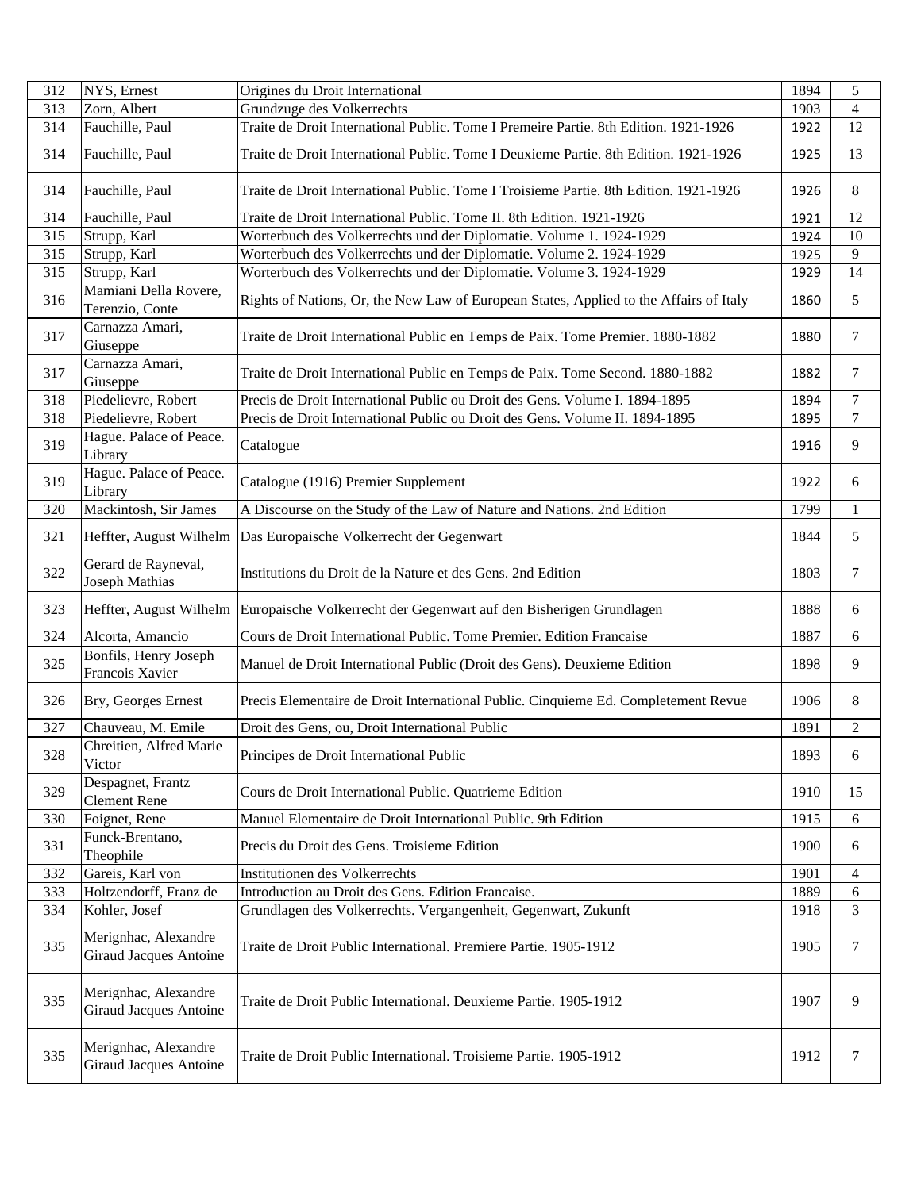| 312 | NYS, Ernest                                           | Origines du Droit International                                                             | 1894 | 5                |
|-----|-------------------------------------------------------|---------------------------------------------------------------------------------------------|------|------------------|
| 313 | Zorn, Albert                                          | Grundzuge des Volkerrechts                                                                  | 1903 | 4                |
| 314 | Fauchille, Paul                                       | Traite de Droit International Public. Tome I Premeire Partie. 8th Edition. 1921-1926        | 1922 | 12               |
| 314 | Fauchille, Paul                                       | Traite de Droit International Public. Tome I Deuxieme Partie. 8th Edition. 1921-1926        | 1925 | 13               |
| 314 | Fauchille, Paul                                       | Traite de Droit International Public. Tome I Troisieme Partie. 8th Edition. 1921-1926       | 1926 | 8                |
| 314 | Fauchille, Paul                                       | Traite de Droit International Public. Tome II. 8th Edition. 1921-1926                       | 1921 | 12               |
| 315 | Strupp, Karl                                          | Worterbuch des Volkerrechts und der Diplomatie. Volume 1. 1924-1929                         | 1924 | 10               |
| 315 | Strupp, Karl                                          | Worterbuch des Volkerrechts und der Diplomatie. Volume 2. 1924-1929                         | 1925 | 9                |
| 315 | Strupp, Karl                                          | Worterbuch des Volkerrechts und der Diplomatie. Volume 3. 1924-1929                         | 1929 | 14               |
| 316 | Mamiani Della Rovere,<br>Terenzio, Conte              | Rights of Nations, Or, the New Law of European States, Applied to the Affairs of Italy      | 1860 | 5                |
| 317 | Carnazza Amari,<br>Giuseppe                           | Traite de Droit International Public en Temps de Paix. Tome Premier. 1880-1882              | 1880 | 7                |
| 317 | Carnazza Amari,<br>Giuseppe                           | Traite de Droit International Public en Temps de Paix. Tome Second. 1880-1882               | 1882 | 7                |
| 318 | Piedelievre, Robert                                   | Precis de Droit International Public ou Droit des Gens. Volume I. 1894-1895                 | 1894 | $\boldsymbol{7}$ |
| 318 | Piedelievre, Robert                                   | Precis de Droit International Public ou Droit des Gens. Volume II. 1894-1895                | 1895 | $\overline{7}$   |
| 319 | Hague. Palace of Peace.<br>Library                    | Catalogue                                                                                   | 1916 | 9                |
| 319 | Hague. Palace of Peace.<br>Library                    | Catalogue (1916) Premier Supplement                                                         | 1922 | 6                |
| 320 | Mackintosh, Sir James                                 | A Discourse on the Study of the Law of Nature and Nations. 2nd Edition                      | 1799 | $\mathbf{1}$     |
| 321 |                                                       | Heffter, August Wilhelm   Das Europaische Volkerrecht der Gegenwart                         | 1844 | 5                |
| 322 | Gerard de Rayneval,<br>Joseph Mathias                 | Institutions du Droit de la Nature et des Gens. 2nd Edition                                 | 1803 | 7                |
| 323 |                                                       | Heffter, August Wilhelm Europaische Volkerrecht der Gegenwart auf den Bisherigen Grundlagen | 1888 | 6                |
| 324 | Alcorta, Amancio                                      | Cours de Droit International Public. Tome Premier. Edition Francaise                        | 1887 | 6                |
| 325 | Bonfils, Henry Joseph<br>Francois Xavier              | Manuel de Droit International Public (Droit des Gens). Deuxieme Edition                     | 1898 | 9                |
| 326 | Bry, Georges Ernest                                   | Precis Elementaire de Droit International Public. Cinquieme Ed. Completement Revue          | 1906 | 8                |
| 327 | Chauveau, M. Emile                                    | Droit des Gens, ou, Droit International Public                                              | 1891 | $\overline{2}$   |
| 328 | Chreitien, Alfred Marie<br>Victor                     | Principes de Droit International Public                                                     | 1893 | 6                |
| 329 | Despagnet, Frantz<br><b>Clement Rene</b>              | Cours de Droit International Public. Quatrieme Edition                                      | 1910 | 15               |
| 330 | Foignet, Rene                                         | Manuel Elementaire de Droit International Public. 9th Edition                               | 1915 | 6                |
| 331 | Funck-Brentano,<br>Theophile                          | Precis du Droit des Gens. Troisieme Edition                                                 | 1900 | 6                |
| 332 | Gareis, Karl von                                      | Institutionen des Volkerrechts                                                              | 1901 | 4                |
| 333 | Holtzendorff, Franz de                                | Introduction au Droit des Gens. Edition Francaise.                                          | 1889 | 6                |
| 334 | Kohler, Josef                                         | Grundlagen des Volkerrechts. Vergangenheit, Gegenwart, Zukunft                              | 1918 | 3                |
| 335 | Merignhac, Alexandre<br><b>Giraud Jacques Antoine</b> | Traite de Droit Public International. Premiere Partie. 1905-1912                            | 1905 | 7                |
| 335 | Merignhac, Alexandre<br><b>Giraud Jacques Antoine</b> | Traite de Droit Public International. Deuxieme Partie. 1905-1912                            | 1907 | 9                |
| 335 | Merignhac, Alexandre<br><b>Giraud Jacques Antoine</b> | Traite de Droit Public International. Troisieme Partie. 1905-1912                           | 1912 | $\tau$           |